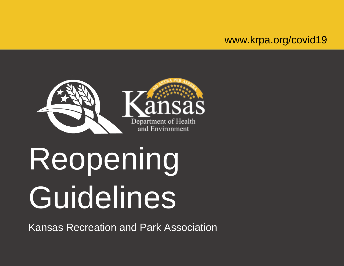# www.krpa.org/covid19



# Reopening Guidelines

Kansas Recreation and Park Association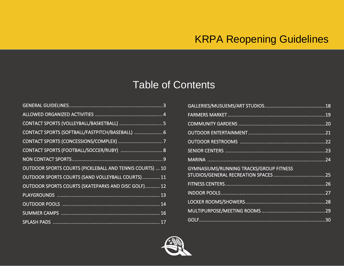# Table of Contents

| CONTACT SPORTS (SOFTBALL/FASTPITCH/BASEBALL)  6          |
|----------------------------------------------------------|
|                                                          |
| CONTACT SPORTS (FOOTBALL/SOCCER/RUBY)  8                 |
|                                                          |
| OUTDOOR SPORTS COURTS (PICKLEBALL AND TENNIS COURTS)  10 |
| OUTDOOR SPORTS COURTS (SAND VOLLEYBALL COURTS) 11        |
| OUTDOOR SPORTS COURTS (SKATEPARKS AND DISC GOLF) 12      |
|                                                          |
|                                                          |
|                                                          |
|                                                          |

| GYMNASIUMS/RUNNING TRACKS/GROUP FITNESS |
|-----------------------------------------|
|                                         |
|                                         |
|                                         |
|                                         |
|                                         |
|                                         |

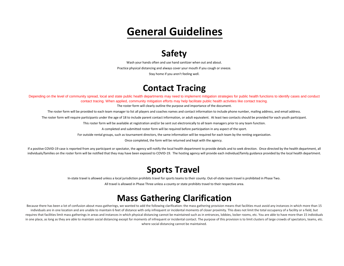# **General Guidelines**

# **Safety**

Wash your hands often and use hand sanitizer when out and about.

Practice physical distancing and always cover your mouth if you cough or sneeze.

Stay home if you aren't feeling well.

# **Contact Tracing**

<span id="page-2-0"></span>Depending on the level of community spread, local and state public health departments may need to implement mitigation strategies for public health functions to identify cases and conduct contact tracing. When applied, community mitigation efforts may help facilitate public health activities like contact tracing.

The roster form will clearly outline the purpose and importance of the document.

The roster form will be provided to each team manager to list all players and coaches names and contact information to include phone number, mailing address, and email address.

The roster form will require participants under the age of 18 to include parent contact information, or adult equivalent. At least two contacts should be provided for each youth participant.

This roster form will be available at registration and/or be sent out electronically to all team managers prior to any team function.

A completed and submitted roster form will be required before participation in any aspect of the sport.

For outside rental groups, such as tournament directors, the same information will be required for each team by the renting organization.

Once completed, the form will be returned and kept with the agency.

If a positive COVID-19 case is reported from any participant or spectator, the agency will notify the local health department to provide details and to seek direction. Once directed by the health department, all individuals/families on the roster form will be notified that they may have been exposed to COVID-19. The hosting agency will provide each individual/family guidance provided by the local health department.

## **Sports Travel**

In-state travel is allowed unless a local jurisdiction prohibits travel for sports teams to their county. Out-of-state team travel is prohibited in Phase Two.

All travel is allowed in Phase Three unless a county or state prohibits travel to their respective area.

# **Mass Gathering Clarification**

Because there has been a lot of confusion about mass gatherings, we wanted to add the following clarification: the mass gathering provision means that facilities must avoid any instances in which more than 15 individuals are in one location and are unable to maintain 6 feet of distance with only infrequent or incidental moments of closer proximity. This does not limit the total occupancy of a facility or a field, but requires that facilities limit mass gatherings in areas and instances in which physical distancing cannot be maintained such as in entrances, lobbies, locker rooms, etc. You are able to have more than 15 individuals in one place, as long as they are able to maintain social distancing except for moments of infrequent or incidental contact. The purpose of this provision is to limit clusters of large crowds of spectators, teams, etc. where social distancing cannot be maintained.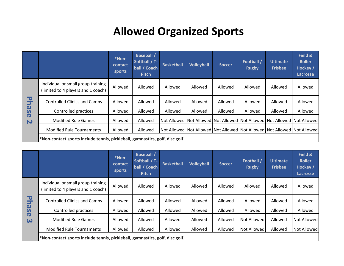# **Allowed Organized Sports**

<span id="page-3-0"></span>

|                                      |                                                                              | *Non-<br>contact<br>sports | <b>Baseball /</b><br>Softball / T-<br>ball / Coach<br><b>Pitch</b> | <b>Basketball</b> | <b>Volleyball</b> | <b>Soccer</b> | Football /<br><b>Rugby</b> | <b>Ultimate</b><br><b>Frisbee</b> | Field &<br><b>Roller</b><br>Hockey /<br>Lacrosse                        |
|--------------------------------------|------------------------------------------------------------------------------|----------------------------|--------------------------------------------------------------------|-------------------|-------------------|---------------|----------------------------|-----------------------------------|-------------------------------------------------------------------------|
|                                      | Individual or small group training<br>(limited to 4 players and 1 coach)     | Allowed                    | Allowed                                                            | Allowed           | Allowed           | Allowed       | Allowed                    | Allowed                           | Allowed                                                                 |
| $\overline{\mathbf{U}}$<br>⋝         | <b>Controlled Clinics and Camps</b>                                          | Allowed                    | Allowed                                                            | Allowed           | Allowed           | Allowed       | Allowed                    | Allowed                           | Allowed                                                                 |
| $\boldsymbol{\omega}$<br>S           | Controlled practices                                                         | Allowed                    | Allowed                                                            | Allowed           | Allowed           | Allowed       | Allowed                    | Allowed                           | Allowed                                                                 |
| $\boldsymbol{\sigma}$<br>$\mathbf N$ | <b>Modified Rule Games</b>                                                   | Allowed                    | Allowed                                                            |                   |                   |               |                            |                                   | Not Allowed Not Allowed Not Allowed Not Allowed Not Allowed Not Allowed |
|                                      | <b>Modified Rule Tournaments</b>                                             | Allowed                    | Allowed                                                            |                   |                   |               |                            |                                   | Not Allowed Not Allowed Not Allowed Not Allowed Not Allowed Not Allowed |
|                                      | *Non-contact sports include tennis, pickleball, gymnastics, golf, disc golf. |                            |                                                                    |                   |                   |               |                            |                                   |                                                                         |

| 모                                                | <b>Controlled Clinics and Camps</b>                                          | Allowed                                                                      | Allowed                                                            | Allowed           | Allowed           | Allowed       | Allowed                                                                           | Allowed                           | Allowed                                                                 |  |  |  |  |
|--------------------------------------------------|------------------------------------------------------------------------------|------------------------------------------------------------------------------|--------------------------------------------------------------------|-------------------|-------------------|---------------|-----------------------------------------------------------------------------------|-----------------------------------|-------------------------------------------------------------------------|--|--|--|--|
| $\boldsymbol{\omega}$<br>S                       | Controlled practices                                                         | Allowed                                                                      | Allowed                                                            | Allowed           | Allowed           | Allowed       | Allowed                                                                           | Allowed                           | Allowed                                                                 |  |  |  |  |
| $\boldsymbol{\sigma}$<br>$\overline{\mathbf{C}}$ | <b>Modified Rule Games</b>                                                   | Allowed                                                                      | Allowed                                                            |                   |                   |               | Not Allowed   Not Allowed   Not Allowed   Not Allowed   Not Allowed   Not Allowed |                                   |                                                                         |  |  |  |  |
|                                                  | <b>Modified Rule Tournaments</b>                                             | Allowed                                                                      | Allowed                                                            |                   |                   |               |                                                                                   |                                   | Not Allowed Not Allowed Not Allowed Not Allowed Not Allowed Not Allowed |  |  |  |  |
|                                                  |                                                                              | *Non-contact sports include tennis, pickleball, gymnastics, golf, disc golf. |                                                                    |                   |                   |               |                                                                                   |                                   |                                                                         |  |  |  |  |
|                                                  |                                                                              |                                                                              |                                                                    |                   |                   |               |                                                                                   |                                   |                                                                         |  |  |  |  |
|                                                  |                                                                              | *Non-<br>contact<br>sports                                                   | <b>Baseball</b> /<br>Softball / T-<br>ball / Coach<br><b>Pitch</b> | <b>Basketball</b> | <b>Volleyball</b> | <b>Soccer</b> | <b>Football</b><br><b>Rugby</b>                                                   | <b>Ultimate</b><br><b>Frisbee</b> | Field &<br><b>Roller</b><br><b>Hockey</b> /<br>Lacrosse                 |  |  |  |  |
|                                                  | Individual or small group training<br>(limited to 4 players and 1 coach)     | Allowed                                                                      | Allowed                                                            | Allowed           | Allowed           | Allowed       | Allowed                                                                           | Allowed                           | Allowed                                                                 |  |  |  |  |
| 모                                                | <b>Controlled Clinics and Camps</b>                                          | Allowed                                                                      | Allowed                                                            | Allowed           | Allowed           | Allowed       | Allowed                                                                           | Allowed                           | Allowed                                                                 |  |  |  |  |
| $\boldsymbol{\omega}$<br>$\overline{v}$          | Controlled practices                                                         | Allowed                                                                      | Allowed                                                            | Allowed           | Allowed           | Allowed       | Allowed                                                                           | Allowed                           | Allowed                                                                 |  |  |  |  |
| $\boldsymbol{\sigma}$<br>$\boldsymbol{\omega}$   | <b>Modified Rule Games</b>                                                   | Allowed                                                                      | Allowed                                                            | Allowed           | Allowed           | Allowed       | Not Allowed                                                                       | Allowed                           | Not Allowed                                                             |  |  |  |  |
|                                                  | <b>Modified Rule Tournaments</b>                                             | Allowed                                                                      | Allowed                                                            | Allowed           | Allowed           | Allowed       | Not Allowed                                                                       | Allowed                           | Not Allowed                                                             |  |  |  |  |
|                                                  | *Non-contact sports include tennis, pickleball, gymnastics, golf, disc golf. |                                                                              |                                                                    |                   |                   |               |                                                                                   |                                   |                                                                         |  |  |  |  |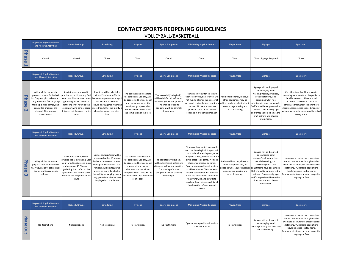## **CONTACT SPORTS REOPENING GUIDELINES**

VOLLEYBALL/BASKETBALL

<span id="page-4-0"></span>

|                                     | <b>Degree of Physical Contact</b><br>and Allowed Activities                                                                                                                                                                       | <b>Ratios &amp; Groups</b>                                                                                                                                                                                                                | <b>Scheduling</b>                                                                                                                                                                                                                                                                   | <b>Hygiene</b>                                                                                                                                                                                                                    | <b>Sports Equipment</b>                                                                                                                                                  | <b>Minimizing Physical Contact</b>                                                                                                                                                                                                                                                                                                                                                                                                                                                           | <b>Player Areas</b>                                                                                                                          | <b>Signage</b>                                                                                                                                                                                                                                                                                          | <b>Spectators</b>                                                                                                                                                                                                                                                                           |
|-------------------------------------|-----------------------------------------------------------------------------------------------------------------------------------------------------------------------------------------------------------------------------------|-------------------------------------------------------------------------------------------------------------------------------------------------------------------------------------------------------------------------------------------|-------------------------------------------------------------------------------------------------------------------------------------------------------------------------------------------------------------------------------------------------------------------------------------|-----------------------------------------------------------------------------------------------------------------------------------------------------------------------------------------------------------------------------------|--------------------------------------------------------------------------------------------------------------------------------------------------------------------------|----------------------------------------------------------------------------------------------------------------------------------------------------------------------------------------------------------------------------------------------------------------------------------------------------------------------------------------------------------------------------------------------------------------------------------------------------------------------------------------------|----------------------------------------------------------------------------------------------------------------------------------------------|---------------------------------------------------------------------------------------------------------------------------------------------------------------------------------------------------------------------------------------------------------------------------------------------------------|---------------------------------------------------------------------------------------------------------------------------------------------------------------------------------------------------------------------------------------------------------------------------------------------|
| <b>Phase</b><br>د                   | Closed                                                                                                                                                                                                                            | Closed                                                                                                                                                                                                                                    | Closed                                                                                                                                                                                                                                                                              | Closed                                                                                                                                                                                                                            | Closed                                                                                                                                                                   | Closed                                                                                                                                                                                                                                                                                                                                                                                                                                                                                       | Closed                                                                                                                                       | Closed Signage Required                                                                                                                                                                                                                                                                                 | Closed                                                                                                                                                                                                                                                                                      |
|                                     | <b>Degree of Physical Contact</b><br>and Allowed Activities                                                                                                                                                                       | <b>Ratios &amp; Groups</b>                                                                                                                                                                                                                | <b>Scheduling</b>                                                                                                                                                                                                                                                                   | <b>Hygiene</b>                                                                                                                                                                                                                    | <b>Sports Equipment</b>                                                                                                                                                  | <b>Minimizing Physical Contact</b>                                                                                                                                                                                                                                                                                                                                                                                                                                                           | <b>Player Areas</b>                                                                                                                          | <b>Signage</b>                                                                                                                                                                                                                                                                                          | <b>Spectators</b>                                                                                                                                                                                                                                                                           |
| <b>Phase</b><br>N                   | Volleyball has incidental<br>physical contact. Basketball<br>nas frequent physical contact.<br>Only individual / small group<br>training, clinics, camps, and<br>controlled practices are<br>allowed. No games or<br>tournaments. | Spectators are required to<br>practice social distancing. Each<br>court would not exceed mass<br>gatherings of 15. The mass<br>gathering limit refers to the<br>spectators who cannot social<br>distance, not the player on the<br>court. | Practices will be scheduled<br>with a 15 minute buffer in<br>between to prevent overlap o<br>participants. Start times<br>should be staggered where no<br>more than half of the facility i<br>changing over at any given<br>time.                                                   | The benches and bleachers,<br>for participant use only, will<br>be disinfected between eacl<br>practice, or whenever the<br>participant group switches.<br>Time will be made to allow<br>the completion of this task.             | The basketball/volleyball(s)<br>will be disinfected before an<br>after every clinic and practice<br>The sharing of sports<br>equipment will be strongly<br>discouraged.  | Teams will not switch sides with<br>each set in volleyball. Players will<br>not huddle after each point, or at<br>any point during, before, or after<br>practice. No hand slaps after<br>practice. Sportsmanship will<br>continue in a touchless manner.                                                                                                                                                                                                                                     | Additional benches, chairs, or<br>other equipment may be<br>added to where substitutes sit<br>to encourage spacing and<br>social distancing. | Signage will be displayed<br>encouraging hand<br>washing/healthy practices,<br>social distancing, and<br>describing what rule<br>adjustments have been made.<br>Staff should be empowered to<br>enforce. One-way signage<br>and/or tape should be used to<br>limit patrons and players<br>interactions. | Consideration should be given to<br>emoving bleachers from the public to<br>be able to access. Lines around<br>restrooms, concession stands or<br>otherwise throughout the event are<br>discouraged; practice social distancing.<br>Vulnerable populations should be asked<br>to stay home. |
|                                     | <b>Degree of Physical Contact</b><br>and Allowed Activities                                                                                                                                                                       | <b>Ratios &amp; Groups</b>                                                                                                                                                                                                                | <b>Scheduling</b>                                                                                                                                                                                                                                                                   | <b>Hygiene</b>                                                                                                                                                                                                                    | <b>Sports Equipment</b>                                                                                                                                                  | <b>Minimizing Physical Contact</b>                                                                                                                                                                                                                                                                                                                                                                                                                                                           | <b>Player Areas</b>                                                                                                                          | <b>Signage</b>                                                                                                                                                                                                                                                                                          | <b>Spectators</b>                                                                                                                                                                                                                                                                           |
| ᠊ᢦ<br>hase<br>$\boldsymbol{\omega}$ | Volleyball has incidental<br>physical contact. Basketball<br>nas frequent physical contact<br>Games and tournaments<br>allowed.                                                                                                   | Spectators are required to<br>oractice social distancing. Eac<br>court would not exceed mass<br>gatherings of 45. The mass<br>gathering limit refers to the<br>spectators who cannot social<br>distance, not the player on the<br>court.  | Games and practices will be<br>scheduled with a 15 minute<br>buffer in between to prevent<br>overlap of participants. Start<br>times should be staggered<br>where no more than half of<br>the facility is changing over at<br>any given time. Games may<br>be played to completion. | The benches and bleachers,<br>for participant use only, will<br>be disinfected between each<br>game and practice, or<br>whenever the participant<br>group switches. Time will be<br>nade to allow the completion<br>of this task. | The basketball/volleyball(s)<br>will be disinfected before and<br>after every clinic and practice<br>The sharing of sports<br>equipment will be strongly<br>discouraged. | Teams will not switch sides with<br>each set in volleyball. Players will<br>not huddle after each point, or at<br>any point during, before, or after a<br>clinic, practice or game. No hand<br>slaps after practice or game.<br>Sportsmanship will continue in a<br>touchless manner. Tournaments<br>awards ceremonies will not take<br>place, the tournament director of<br>the event will hand awards to<br>coaches. Team pictures will be at<br>the discretion of coaches and<br>parents. | Additional benches, chairs, or<br>other equipment may be<br>idded to where substitutes sit<br>to encourage spacing and<br>social distancing. | Signage will be displayed<br>encouraging hand<br>washing/healthy practices,<br>social distancing, and<br>describing what rule<br>adjustments have been made<br>Staff should be empowered to<br>enforce. One-way signage<br>and/or tape should be used to<br>limit patrons and players<br>interactions.  | Lines around restrooms, concession<br>stands or otherwise throughout the<br>event are discouraged; practice social<br>distancing. Vulnerable populations<br>should be asked to stay home.<br>Tournaments: teams are encouraged to<br>prepay gate fees.                                      |
|                                     | <b>Degree of Physical Contact</b>                                                                                                                                                                                                 | <b>Ratios &amp; Groups</b>                                                                                                                                                                                                                | <b>Scheduling</b>                                                                                                                                                                                                                                                                   | <b>Hygiene</b>                                                                                                                                                                                                                    | <b>Sports Equipment</b>                                                                                                                                                  | <b>Minimizing Physical Contact</b>                                                                                                                                                                                                                                                                                                                                                                                                                                                           | <b>Player Areas</b>                                                                                                                          | <b>Signage</b>                                                                                                                                                                                                                                                                                          | <b>Spectators</b>                                                                                                                                                                                                                                                                           |
| <b>Phase</b><br>Out                 | and Allowed Activities<br>No Restrictions                                                                                                                                                                                         | No Restrictions                                                                                                                                                                                                                           | No Restrictions                                                                                                                                                                                                                                                                     | No Restrictions                                                                                                                                                                                                                   | No Restrictions                                                                                                                                                          | Sportsmanship will continue in a<br>touchless manner.                                                                                                                                                                                                                                                                                                                                                                                                                                        | No Restrictions                                                                                                                              | Signage will be displayed<br>encouraging hand<br>washing/healthy practices and<br>social distancing.                                                                                                                                                                                                    | Lines around restrooms, concession<br>stands or otherwise throughout the<br>event are discouraged; practice social<br>distancing. Vulnerable populations<br>should be asked to stay home.<br>Tournaments: teams are encouraged to<br>prepay gate fees.                                      |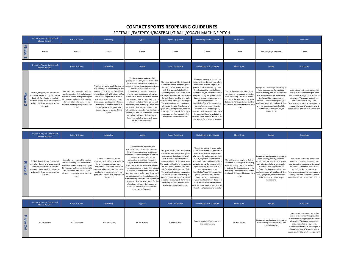#### **CONTACT SPORTS REOPENING GUIDELINES**

#### SOFTBALL/FASTPITCH/BASEBALL/T-BALL/COACH-MACHINE PITCH

<span id="page-5-0"></span>

|                                    | <b>Degree of Physical Contact and</b><br><b>Allowed Activities</b>                                                                                                                                        | <b>Ratios &amp; Groups</b>                                                                                                                                                                                                                          | <b>Scheduling</b>                                                                                                                                                                                                                                                                                                                                                                                 | <b>Hygiene</b>                                                                                                                                                                                                                                                                                                                                                                                                                                                                                                                                                                                                                                                                                                 | <b>Sports Equipment</b>                                                                                                                                                                                                                                                                                                                                                                                                                                                                                                                                 | <b>Minimizing Physical Contact</b>                                                                                                                                                                                                                                                                                                                                                                                                                                                                                                                                                             | <b>Player Areas</b>                                                                                                                                                                                                                                       | <b>Signage</b>                                                                                                                                                                                                                                                                                                                                                 | <b>Spectators</b>                                                                                                                                                                                                                                                                                                       |
|------------------------------------|-----------------------------------------------------------------------------------------------------------------------------------------------------------------------------------------------------------|-----------------------------------------------------------------------------------------------------------------------------------------------------------------------------------------------------------------------------------------------------|---------------------------------------------------------------------------------------------------------------------------------------------------------------------------------------------------------------------------------------------------------------------------------------------------------------------------------------------------------------------------------------------------|----------------------------------------------------------------------------------------------------------------------------------------------------------------------------------------------------------------------------------------------------------------------------------------------------------------------------------------------------------------------------------------------------------------------------------------------------------------------------------------------------------------------------------------------------------------------------------------------------------------------------------------------------------------------------------------------------------------|---------------------------------------------------------------------------------------------------------------------------------------------------------------------------------------------------------------------------------------------------------------------------------------------------------------------------------------------------------------------------------------------------------------------------------------------------------------------------------------------------------------------------------------------------------|------------------------------------------------------------------------------------------------------------------------------------------------------------------------------------------------------------------------------------------------------------------------------------------------------------------------------------------------------------------------------------------------------------------------------------------------------------------------------------------------------------------------------------------------------------------------------------------------|-----------------------------------------------------------------------------------------------------------------------------------------------------------------------------------------------------------------------------------------------------------|----------------------------------------------------------------------------------------------------------------------------------------------------------------------------------------------------------------------------------------------------------------------------------------------------------------------------------------------------------------|-------------------------------------------------------------------------------------------------------------------------------------------------------------------------------------------------------------------------------------------------------------------------------------------------------------------------|
| <b>Phase</b><br>Н                  | Closed                                                                                                                                                                                                    | Closed                                                                                                                                                                                                                                              | Closec                                                                                                                                                                                                                                                                                                                                                                                            | Closed                                                                                                                                                                                                                                                                                                                                                                                                                                                                                                                                                                                                                                                                                                         | Closed                                                                                                                                                                                                                                                                                                                                                                                                                                                                                                                                                  | Closed                                                                                                                                                                                                                                                                                                                                                                                                                                                                                                                                                                                         | Closed                                                                                                                                                                                                                                                    | <b>Closed Signage Required</b>                                                                                                                                                                                                                                                                                                                                 | Closed                                                                                                                                                                                                                                                                                                                  |
|                                    | <b>Degree of Physical Contact and</b><br><b>Allowed Activities</b>                                                                                                                                        | <b>Ratios &amp; Groups</b>                                                                                                                                                                                                                          | <b>Scheduling</b>                                                                                                                                                                                                                                                                                                                                                                                 | <b>Hygiene</b>                                                                                                                                                                                                                                                                                                                                                                                                                                                                                                                                                                                                                                                                                                 | <b>Sports Equipment</b>                                                                                                                                                                                                                                                                                                                                                                                                                                                                                                                                 | <b>Minimizing Physical Contact</b>                                                                                                                                                                                                                                                                                                                                                                                                                                                                                                                                                             | <b>Player Areas</b>                                                                                                                                                                                                                                       | Signage                                                                                                                                                                                                                                                                                                                                                        | <b>Spectators</b>                                                                                                                                                                                                                                                                                                       |
| Phase<br>$\overline{\mathsf{N}}$   | Softball, Fastpitch, and Baseball all<br>ave a low degree of physical contac<br>Controlled workouts, controlled<br>ractices, clinics, modified rule game:<br>and modified rule tournaments are<br>allowed | Spectators are required to practice<br>social distancing. Each ball diamond<br>would not exceed mass gatherings of<br>15. The mass gathering limit refers to<br>the spectators who cannot social<br>distance, not the participants on the<br>field. | Practices will be scheduled with a 15<br>minute buffer in between to prevent<br>overlan of participants. GAMES will<br>be scheduled with a 30 minute buffer<br>in between to prevent overlap of<br>participants and spectators. Start<br>imes should be staggered where no<br>more than half of the complex is<br>changing over at any given time.<br>Games may end in a draw if time<br>expires. | The benches and bleachers, for<br>participant use only, will be disinfected<br>between each game and practice, or<br>whenever the participant group switches<br>Time will be made to allow the<br>completion of this task. The use of<br>dugout water coolers and otherwise<br>shared water bottles will not be allowed<br>Teams are required to clean their dugout<br>of all trash and other items before and<br>after each game, and to wipe down hard<br>surfaces such as benches, bat racks, etc.<br>with sanitizing products. Two disinfecting<br>stations per field for patrons use. Facility<br>attendants will spray disinfectant on<br>hand rails and other commonly-used<br>touch points frequently. | The game ball(s) will be disinfected<br>before and after every clinic, game<br>and practice. Each team will pitch<br>with their own balls to limit ball<br>contact to players of the same team<br>The umpire will not have contact witl<br>the ball. Teams need to have balls<br>eady for when a ball goes out of play<br>The sharing of catchers equipment<br>will not be allowed. The sharing of<br>sports equipment (helmets and bats)<br>is strongly discouraged, if sharing is<br>necessary, coaches must disinfect<br>equipment between each use. | Managers meeting at home plate<br>should be limited to one coach fron<br>each team, plus the umpires. No<br>players at the plate meeting. Limit<br>bench/dugout to essential team<br>personnel. Players will not huddle at<br>any point during the game/practice.<br>Sportsmanship will continue in a<br>touchless manner - no<br>handshakes/slaps/fist bumps after<br>games, Tournaments - Awards<br>ceremonies will not take place,<br>nowever the Tournament Director of<br>the event will hand awards to the<br>coaches. Team pictures will be at th<br>discretion of coaches and parents  | The batting team may have half of<br>their team in the dugout, practicing<br>social distancing. The other half will<br>be outside the field, practicing social<br>distancing. Participants may use the<br>bleachers if disinfected between eacl<br>inning | Signage will be displayed encouraging<br>hand washing/healthy practices,<br>ocial distancing, and describing what<br>rule adjustments have been made.<br>Staff should be empowered to<br>enforce. To discourage spitting, no<br>unflower seeds will be allowed. One<br>way signage and/or tape should be<br>used to limit patrons and players<br>interactions. | Lines around restrooms, concession<br>stands or otherwise throughout the<br>event are discouraged: practice social<br>distancing. Vulnerable populations<br>should be asked to stay home.<br>Tournaments: teams are encouraged to<br>prepay gate fees. When using a tent,<br>please restrict it to family members only. |
|                                    | <b>Degree of Physical Contact and</b><br><b>Allowed Activities</b>                                                                                                                                        | <b>Ratios &amp; Groups</b>                                                                                                                                                                                                                          | <b>Scheduling</b>                                                                                                                                                                                                                                                                                                                                                                                 | <b>Hygiene</b>                                                                                                                                                                                                                                                                                                                                                                                                                                                                                                                                                                                                                                                                                                 | <b>Sports Equipment</b>                                                                                                                                                                                                                                                                                                                                                                                                                                                                                                                                 | <b>Minimizing Physical Contact</b>                                                                                                                                                                                                                                                                                                                                                                                                                                                                                                                                                             | <b>Player Areas</b>                                                                                                                                                                                                                                       | <b>Signage</b>                                                                                                                                                                                                                                                                                                                                                 | <b>Spectators</b>                                                                                                                                                                                                                                                                                                       |
| ᠊ᢦ<br>hase <sub></sub><br>$\omega$ | Softhall, Eastnitch, and Baseball all<br>ave a low degree of physical contact<br>Controlled workouts, controlled<br>ractices, clinics, modified rule game<br>and modified rule tournaments are<br>allowed | Spectators are required to practice<br>social distancing. Each ball diamond<br>would not exceed mass gatherings of<br>45. The mass gathering limit refers to<br>the spectators who cannot social<br>distance, not the participants on the<br>field. | Games and practices will be<br>cheduled with a 15 minute buffer in<br>between to prevent overlap of<br>participants. Start times should be<br>aggered where no more than half o<br>the facility is changing over at any<br>given time. Games may be played to<br>completion                                                                                                                       | The benches and bleachers, for<br>participant use only, will be disinfected<br>between each game and practice, or<br>whenever the participant group switches<br>Time will be made to allow the<br>completion of this task. The use of<br>dugout water coolers and otherwise<br>hared water bottles will not be allowed<br>eams are required to clean their dugou<br>of all trash and other items before and<br>after each game, and to wipe down hard<br>surfaces such as benches, bat racks, etc.<br>with sanitizing products. Two disinfecting<br>stations per field for patrons use. Facility<br>attendants will spray disinfectant on<br>hand rails and other commonly-used<br>touch points frequently.    | The game ball(s) will be disinfected<br>before and after every clinic, game<br>and practice. Each team will pitch<br>with their own balls to limit hall<br>contact to players of the same team<br>The umpire will not have contact with<br>the ball. Teams need to have balls<br>eady for when a ball goes out of play<br>The sharing of catchers equipment<br>will not be allowed. The sharing of<br>sports equipment (helmets and bats)<br>is strongly discouraged, if sharing is<br>necessary, coaches must disinfect<br>equipment between each use. | Managers meeting at home plate<br>should be limited to one coach from<br>each team, plus the umpires. No<br>players at the plate meeting. Limit<br>bench/dugout to essential team<br>personnel. Players will not huddle at<br>any point during the game/practice.<br>Sportsmanship will continue in a<br>touchless manner - no<br>handshakes/slaps/fist bumps after<br>games. Tournaments - Awards<br>ceremonies will not take place,<br>nowever the Tournament Director of<br>the event will hand awards to the<br>coaches. Team pictures will be at the<br>discretion of coaches and parents | The batting team may have half of<br>their team in the dugout, practicing<br>social distancing. The other half will<br>be outside the field, practicing socia<br>distancing. Participants may use the<br>bleachers if disinfected between eac<br>inning.  | Signage will be displayed encouraging<br>hand washing/healthy practices,<br>ocial distancing, and describing wha<br>rule adjustments have been made.<br>Staff should be empowered to<br>enforce. To discourage spitting, no<br>unflower seeds will be allowed. One<br>way signage and/or tape should be<br>used to limit patrons and players<br>interactions   | Lines around restrooms, concession<br>stands or otherwise throughout the<br>event are discouraged: practice social<br>distancing. Vulnerable populations<br>should be asked to stay home.<br>Tournaments: teams are encouraged to<br>prepay gate fees. When using a tent,<br>please restrict it to family members only. |
|                                    | <b>Degree of Physical Contact and</b><br><b>Allowed Activities</b>                                                                                                                                        | <b>Ratios &amp; Groups</b>                                                                                                                                                                                                                          | <b>Scheduling</b>                                                                                                                                                                                                                                                                                                                                                                                 | <b>Hygiene</b>                                                                                                                                                                                                                                                                                                                                                                                                                                                                                                                                                                                                                                                                                                 | <b>Sports Equipment</b>                                                                                                                                                                                                                                                                                                                                                                                                                                                                                                                                 | <b>Minimizing Physical Contact</b>                                                                                                                                                                                                                                                                                                                                                                                                                                                                                                                                                             | <b>Player Areas</b>                                                                                                                                                                                                                                       | Signage                                                                                                                                                                                                                                                                                                                                                        | <b>Spectators</b>                                                                                                                                                                                                                                                                                                       |
| Phase<br>Out                       | No Restrictions                                                                                                                                                                                           | No Restrictions                                                                                                                                                                                                                                     | No Restrictions                                                                                                                                                                                                                                                                                                                                                                                   | No Restrictions                                                                                                                                                                                                                                                                                                                                                                                                                                                                                                                                                                                                                                                                                                | No Restrictions                                                                                                                                                                                                                                                                                                                                                                                                                                                                                                                                         | Sportsmanship will continue in a<br>touchless manner                                                                                                                                                                                                                                                                                                                                                                                                                                                                                                                                           | No Restrictions                                                                                                                                                                                                                                           | Signage will be displayed encouraging<br>hand washing/healthy practices and<br>social distancing                                                                                                                                                                                                                                                               | Lines around restrooms, concession<br>stands or otherwise throughout the<br>event are discouraged; practice social<br>distancing. Vulnerable populations<br>should be asked to stay home.<br>Tournaments: teams are encouraged to<br>prepay gate fees. When using a tent,<br>please restrict it to family members only. |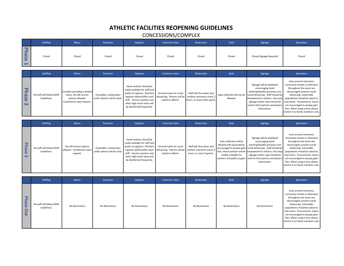## **ATHLETIC FACILITIES REOPENING GUIDELINES**

## CONCESSIONS/COMPLEX

<span id="page-6-0"></span>

|                                | <b>Staffing</b>                           | <b>Menu</b>                                                                                           | Payment                                                 | <b>Hygiene</b>                                                                                                                                                                                                        | <b>Customer Lines</b>                                                      | <b>Restrooms</b>                                                                     | Gate                                                                                                                                                                      | <b>Signage</b>                                                                                                                                                                                                                               | <b>Spectators</b>                                                                                                                                                                                                                                                                                                             |
|--------------------------------|-------------------------------------------|-------------------------------------------------------------------------------------------------------|---------------------------------------------------------|-----------------------------------------------------------------------------------------------------------------------------------------------------------------------------------------------------------------------|----------------------------------------------------------------------------|--------------------------------------------------------------------------------------|---------------------------------------------------------------------------------------------------------------------------------------------------------------------------|----------------------------------------------------------------------------------------------------------------------------------------------------------------------------------------------------------------------------------------------|-------------------------------------------------------------------------------------------------------------------------------------------------------------------------------------------------------------------------------------------------------------------------------------------------------------------------------|
| <b>Phase</b><br>$\blacksquare$ | Closed                                    | Closed                                                                                                | Closed                                                  | Closed                                                                                                                                                                                                                | Closed                                                                     | Closed                                                                               | Closed                                                                                                                                                                    | Closed Signage Required                                                                                                                                                                                                                      | Closed                                                                                                                                                                                                                                                                                                                        |
|                                | <b>Staffing</b>                           | <b>Menu</b>                                                                                           | Payment                                                 | <b>Hygiene</b>                                                                                                                                                                                                        | <b>Customer Lines</b>                                                      | <b>Restrooms</b>                                                                     | Gate                                                                                                                                                                      | <b>Signage</b>                                                                                                                                                                                                                               | <b>Spectators</b>                                                                                                                                                                                                                                                                                                             |
| <b>Phase</b><br>N              | All staff will follow KDHE<br>Guidelines. | Consider providing a limited<br>menu. No self-service<br>options allowed.<br>Condiments upon request. | If possible, cashless/pre<br>order options will be used | Hand sanitizer should be<br>made available for staff and<br>public at registers. Disinfect<br>registers before/after each<br>shift. Service counters and<br>other high touch areas will<br>be disinfected frequently. | Ground marks for social<br>distancing. Patrons will be<br>asked to adhere. | Staff will shut down and<br>sanitize restrooms every 2<br>nours, or every other game | Gate collection will not be<br>allowed.                                                                                                                                   | Signage will be displayed<br>encouraging hand<br>washing/healthy practices and<br>social distancing. Staff should be<br>empowered to enforce. One-way<br>signage and/or tape should be<br>used to limit patrons and players<br>interactions. | Lines around restrooms,<br>concession stands or otherwise<br>throughout the event are<br>discouraged; practice social<br>distancing. Vulnerable<br>populations should be asked to<br>stay home. Tournaments: teams<br>are encouraged to prepay gate<br>fees. When using a tent, please<br>restrict it to family members only. |
|                                | <b>Staffing</b>                           | <b>Menu</b>                                                                                           | Payment                                                 | Hygiene                                                                                                                                                                                                               | <b>Customer Lines</b>                                                      | <b>Restrooms</b>                                                                     | Gate                                                                                                                                                                      | <b>Signage</b>                                                                                                                                                                                                                               | <b>Spectators</b>                                                                                                                                                                                                                                                                                                             |
| <b>Phase</b><br>$\omega$       | All staff will follow KDHE<br>Guidelines. | No self-service options<br>allowed. Condiments upon<br>request.                                       | If possible, cashless/pre<br>order options will be used | Hand sanitizer should be<br>made available for staff and<br>public at registers. Disinfect<br>registers before/after each<br>shift. Service counters and<br>other high touch areas will<br>be disinfected frequently. | Ground marks for social<br>distancing. Patrons will be<br>asked to adhere. | Staff will shut down and<br>sanitize restrooms every 4<br>hours, or every 4 games.   | Gate collection will be<br>allowed with precautions;<br>encouraged to prepay gate<br>fees. Hand sanitizer will be<br>readily available for<br>workers and public at gate. | Signage will be displayed<br>encouraging hand<br>washing/healthy practices and<br>social distancing. Staff should be<br>empowered to enforce. One-way<br>signage and/or tape should be<br>used to limit patrons and players<br>interactions. | Lines around restrooms,<br>concession stands or otherwise<br>throughout the event are<br>discouraged; practice social<br>distancing. Vulnerable<br>populations should be asked to<br>stay home. Tournaments: teams<br>are encouraged to prepay gate<br>fees. When using a tent, please<br>restrict it to family members only. |
|                                | <b>Staffing</b>                           | <b>Menu</b>                                                                                           | Payment                                                 | <b>Hygiene</b>                                                                                                                                                                                                        | <b>Customer Lines</b>                                                      | <b>Restrooms</b>                                                                     | Gate                                                                                                                                                                      | <b>Signage</b>                                                                                                                                                                                                                               | <b>Spectators</b>                                                                                                                                                                                                                                                                                                             |
| <b>Phase</b><br>Dut            | All staff will follow KDHE<br>Guidelines. | <b>No Restrictions</b>                                                                                | No Restrictions                                         | No Restrictions                                                                                                                                                                                                       | No Restrictions                                                            | No Restrictions                                                                      | No Restrictions                                                                                                                                                           | No Restrictions                                                                                                                                                                                                                              | Lines around restrooms,<br>concession stands or otherwise<br>throughout the event are<br>discouraged; practice social<br>distancing. Vulnerable<br>populations should be asked to<br>stay home. Tournaments: teams<br>are encouraged to prepay gate<br>fees. When using a tent, please                                        |

restrict it to family members only.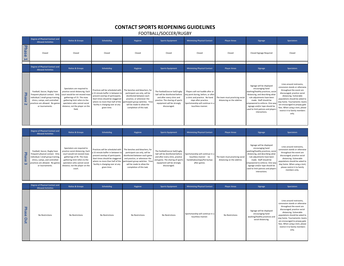#### **CONTACT SPORTS REOPENING GUIDELINES**

FOOTBALL/SOCCER/RUGBY

and the control

<span id="page-7-0"></span>

|                              | Degree of Physical Contact and<br><b>Allowed Activities</b>                                                                                                                                  | <b>Ratios &amp; Groups</b>                                                                                                                                                                                                                   | <b>Scheduling</b>                                                                                                                                                                                                                | <b>Hygiene</b>                                                                                                                                                                                                                 | <b>Sports Equipment</b>                                                                                                                                                                | <b>Minimizing Physical Contact</b>                                                                                                                                                         | <b>Player Areas</b>                                            | <b>Signage</b>                                                                                                                                                                                                                                                                                      | <b>Spectators</b>                                                                                                                                                                                                                                                                                                                |
|------------------------------|----------------------------------------------------------------------------------------------------------------------------------------------------------------------------------------------|----------------------------------------------------------------------------------------------------------------------------------------------------------------------------------------------------------------------------------------------|----------------------------------------------------------------------------------------------------------------------------------------------------------------------------------------------------------------------------------|--------------------------------------------------------------------------------------------------------------------------------------------------------------------------------------------------------------------------------|----------------------------------------------------------------------------------------------------------------------------------------------------------------------------------------|--------------------------------------------------------------------------------------------------------------------------------------------------------------------------------------------|----------------------------------------------------------------|-----------------------------------------------------------------------------------------------------------------------------------------------------------------------------------------------------------------------------------------------------------------------------------------------------|----------------------------------------------------------------------------------------------------------------------------------------------------------------------------------------------------------------------------------------------------------------------------------------------------------------------------------|
| <b>Phase</b>                 | Closed                                                                                                                                                                                       | Closed                                                                                                                                                                                                                                       | Closed                                                                                                                                                                                                                           | Closed                                                                                                                                                                                                                         | Closed                                                                                                                                                                                 | Closed                                                                                                                                                                                     | Closed                                                         | Closed Signage Required                                                                                                                                                                                                                                                                             | Closed                                                                                                                                                                                                                                                                                                                           |
|                              | <b>Degree of Physical Contact and</b><br><b>Allowed Activities</b>                                                                                                                           | <b>Ratios &amp; Groups</b>                                                                                                                                                                                                                   | <b>Scheduling</b>                                                                                                                                                                                                                | Hygiene                                                                                                                                                                                                                        | <b>Sports Equipment</b>                                                                                                                                                                | <b>Minimizing Physical Contact</b>                                                                                                                                                         | <b>Player Areas</b>                                            | <b>Signage</b>                                                                                                                                                                                                                                                                                      | <b>Spectators</b>                                                                                                                                                                                                                                                                                                                |
| <b>Phase</b><br>$\mathbf{N}$ | Football, Soccer, Rugby have<br>frequent physical contact. Only<br>ndividual / small group training<br>clinics, camps, and controlled<br>practices are allowed. No games<br>or tournaments.  | Spectators are required to<br>practice social distancing. Each<br>court would be not exceed mass<br>gatherings of 15. The mass<br>gathering limit refers to the<br>spectators who cannot social<br>distance, not the player on the<br>field. | Practices will be scheduled with<br>a 15 minute buffer in between to<br>prevent overlap of participants.<br>Start times should be staggered<br>where no more than half of the<br>facility is changing over at any<br>given time. | The benches and bleachers, for<br>participant use only, will be<br>disinfected between each<br>practice, or whenever the<br>participant group switches. Tim-<br>will be made to allow the<br>completion of this task.          | The football/soccer ball/rugby<br>ball will be disinfected before<br>and after every clinic and<br>practice. The sharing of sports<br>equipment will be strongly<br>discouraged.       | Players will not huddle after at<br>any point during, before, or after<br>a clinic and practice. No hand<br>slaps after practice.<br>Sportsmanship will continue in a<br>touchless manner. | The team must practicing social<br>distancing on the sideline. | Signage will be displayed<br>encouraging hand<br>washing/healthy practices, social<br>distancing, and describing what<br>rule adjustments have been<br>made. Staff should be<br>empowered to enforce. One-wa<br>signage and/or tape should be<br>used to limit patrons and player<br>interactions.  | Lines around restrooms.<br>concession stands or otherwise<br>throughout the event are<br>discouraged; practice social<br>distancing. Vulnerable<br>populations should be asked to<br>stay home. Tournaments: teams<br>are encouraged to prepay gate<br>fees. When using a tent, please<br>restrict it to family members<br>only. |
|                              | <b>Degree of Physical Contact and</b><br><b>Allowed Activities</b>                                                                                                                           | <b>Ratios &amp; Groups</b>                                                                                                                                                                                                                   | <b>Scheduling</b>                                                                                                                                                                                                                | Hygiene                                                                                                                                                                                                                        | <b>Sports Equipment</b>                                                                                                                                                                | <b>Minimizing Physical Contact</b>                                                                                                                                                         | <b>Player Areas</b>                                            | Signage                                                                                                                                                                                                                                                                                             | <b>Spectators</b>                                                                                                                                                                                                                                                                                                                |
| Phase<br>$\omega$            | Football, Soccer, Rugby have<br>frequent physical contact. Only<br>ndividual / small group training,<br>clinics, camps, and controlled<br>practices are allowed. No games<br>or tournaments. | Spectators are required to<br>practice social distancing. Each<br>court would not exceed mass<br>gatherings of 45. The mass<br>gathering limit refers to the<br>spectators who cannot social<br>distance, not the player on the<br>court.    | Practices will be scheduled with<br>a 15 minute buffer in between to<br>prevent overlap of participants.<br>Start times should be staggered<br>where no more than half of the<br>facility is changing over at any<br>given time. | The benches and bleachers, for<br>participant use only, will be<br>disinfected between each game<br>and practice, or whenever the<br>participant group switches. Time<br>will be made to allow the<br>completion of this task. | The football/soccer ball/rugby<br>ball will be disinfected before<br>and after every clinic, practice<br>and game. The sharing of sports<br>equipment will be strongly<br>discouraged. | Sportsmanship will continue in a<br>touchless manner - no<br>handshakes/slaps/fist bumps<br>after games.                                                                                   | The team must practicing social<br>distancing on the sideline. | Signage will be displayed<br>encouraging hand<br>washing/healthy practices, socia<br>distancing, and describing what<br>rule adjustments have been<br>made. Staff should be<br>empowered to enforce. One-way<br>signage and/or tape should be<br>used to limit patrons and players<br>interactions. | Lines around restrooms,<br>concession stands or otherwise<br>throughout the event are<br>discouraged; practice social<br>distancing. Vulnerable<br>populations should be asked to<br>stay home. When using a tent,<br>please restrict it to family<br>members only.                                                              |
|                              | <b>Degree of Physical Contact and</b>                                                                                                                                                        | <b>Ratios &amp; Groups</b>                                                                                                                                                                                                                   | <b>Scheduling</b>                                                                                                                                                                                                                | Hygiene                                                                                                                                                                                                                        | <b>Sports Equipment</b>                                                                                                                                                                | <b>Minimizing Physical Contact</b>                                                                                                                                                         | <b>Player Areas</b>                                            | Signage                                                                                                                                                                                                                                                                                             | <b>Spectators</b>                                                                                                                                                                                                                                                                                                                |
| Phase<br>Out                 | <b>Allowed Activities</b><br>No Restrictions                                                                                                                                                 | No Restrictions                                                                                                                                                                                                                              | No Restrictions                                                                                                                                                                                                                  | No Restrictions                                                                                                                                                                                                                | No Restrictions                                                                                                                                                                        | Sportsmanship will continue in a<br>touchless manner.                                                                                                                                      | No Restrictions                                                | Signage will be displayed<br>encouraging hand<br>washing/healthy practices and<br>social distancing.                                                                                                                                                                                                | Lines around restrooms,<br>concession stands or otherwise<br>throughout the event are<br>discouraged; practice social<br>distancing. Vulnerable<br>populations should be asked to<br>stay home. Tournaments: teams<br>are encouraged to prepay gate<br>fees. When using a tent, please<br>restrict it to family members<br>only. |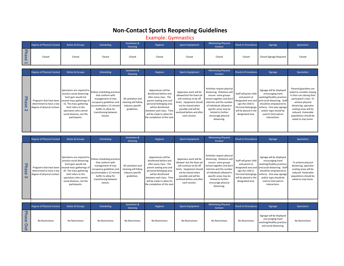# **Non-Contact Sports Reopening Guidelines**

Example: Gymnastics

<span id="page-8-0"></span>

|                     | <b>Degree of Physical Contact</b>                                                  | <b>Ratios &amp; Groups</b>                                                                                                                                                                                                          | <b>Scheduling</b>                                                                                                                                                                        | <b>Sanitation &amp;</b><br><b>Cleaning</b>                                     | <b>Hygiene</b>                                                                                                                                                                                                                               | <b>Sports Equipment</b>                                                                                                                                                                               | <b>Minimizing Physical</b><br>Contact                                                                                                                                                                                                                  | <b>Check-in Procedures</b>                                                                                                                               | Signage                                                                                                                                                                                                                            | <b>Spectators</b>                                                                                                                                                                                                                                        |
|---------------------|------------------------------------------------------------------------------------|-------------------------------------------------------------------------------------------------------------------------------------------------------------------------------------------------------------------------------------|------------------------------------------------------------------------------------------------------------------------------------------------------------------------------------------|--------------------------------------------------------------------------------|----------------------------------------------------------------------------------------------------------------------------------------------------------------------------------------------------------------------------------------------|-------------------------------------------------------------------------------------------------------------------------------------------------------------------------------------------------------|--------------------------------------------------------------------------------------------------------------------------------------------------------------------------------------------------------------------------------------------------------|----------------------------------------------------------------------------------------------------------------------------------------------------------|------------------------------------------------------------------------------------------------------------------------------------------------------------------------------------------------------------------------------------|----------------------------------------------------------------------------------------------------------------------------------------------------------------------------------------------------------------------------------------------------------|
| <b>Phase</b>        | Closed                                                                             | Closed                                                                                                                                                                                                                              | Closed                                                                                                                                                                                   | Closed                                                                         | Closed                                                                                                                                                                                                                                       | Closed                                                                                                                                                                                                | Closed                                                                                                                                                                                                                                                 | Closed                                                                                                                                                   | <b>Closed Signage Required</b>                                                                                                                                                                                                     | Closed                                                                                                                                                                                                                                                   |
|                     |                                                                                    |                                                                                                                                                                                                                                     |                                                                                                                                                                                          |                                                                                |                                                                                                                                                                                                                                              |                                                                                                                                                                                                       |                                                                                                                                                                                                                                                        |                                                                                                                                                          |                                                                                                                                                                                                                                    |                                                                                                                                                                                                                                                          |
|                     | <b>Degree of Physical Contact</b>                                                  | <b>Ratios &amp; Groups</b>                                                                                                                                                                                                          | <b>Scheduling</b>                                                                                                                                                                        | <b>Sanitation &amp;</b><br><b>Cleaning</b>                                     | <b>Hygiene</b>                                                                                                                                                                                                                               | <b>Sports Equipment</b>                                                                                                                                                                               | <b>Minimizing Physical</b><br><b>Contact</b>                                                                                                                                                                                                           | <b>Check-in Procedures</b>                                                                                                                               | <b>Signage</b>                                                                                                                                                                                                                     | <b>Spectators</b>                                                                                                                                                                                                                                        |
| <b>Phase</b><br>N   | Programs that have been<br>determined to have a low<br>degree of physical contact. | Spectators are required to<br>practice social distancing.<br>Each gym would not<br>exceed mass gatherings of<br>15. The mass gathering<br>limit refers to the<br>spectators who cannot<br>social distance, not the<br>participants. | Follow scheduling practices<br>that conform with<br>management of max<br>occupancy guidelines and<br>accommodate a 15 minute<br>buffer to allow for<br>transitioning between<br>classes. | All sanitation and<br>cleaning will follow<br>industry specific<br>guidelines. | Apparatuses will be<br>disinfected before and<br>after every class. The<br>parent seating area and<br>personal belonging area<br>will be disinfected<br>between each class. Time<br>will be made to allow for<br>the completion of this task | Apparatus work will be<br>allowed but the foam pit<br>will continue to be off<br>limits. Equipment should<br>not be shared when<br>possible and will be<br>anitized before and after<br>each session. | Activities require physical<br>distancing. Rotations wil<br>ensure same groups<br>remain together and don'<br>intermix and the number<br>of individuals allowed in<br>specific areas may be<br>limited to further<br>encourage physical<br>distancing. | Staff will greet child<br>and parent at<br>designated area and<br>sign the child in.<br>Personal belongings<br>will be placed in the<br>designated area. | Signage will be displayed<br>encouraging hand<br>washing/healthy practices<br>and social distancing. Staff<br>should be empowered to<br>enforce. One-way signage<br>and/or tape should be<br>used to limit patron<br>interactions. | Parents/guardians are<br>asked to consider staying<br>in their cars during their<br>participant's class. To<br>achieve physical<br>distancing, spectator<br>seating areas will be<br>reduced. Vulnerable<br>populations should be<br>asked to stay home. |
|                     |                                                                                    |                                                                                                                                                                                                                                     |                                                                                                                                                                                          |                                                                                |                                                                                                                                                                                                                                              |                                                                                                                                                                                                       |                                                                                                                                                                                                                                                        |                                                                                                                                                          |                                                                                                                                                                                                                                    |                                                                                                                                                                                                                                                          |
|                     | <b>Degree of Physical Contact</b>                                                  | <b>Ratios &amp; Groups</b>                                                                                                                                                                                                          | <b>Scheduling</b>                                                                                                                                                                        | <b>Sanitation &amp;</b><br><b>Cleaning</b>                                     | <b>Hygiene</b>                                                                                                                                                                                                                               | <b>Sports Equipment</b>                                                                                                                                                                               | <b>Minimizing Physical</b><br><b>Contact</b>                                                                                                                                                                                                           | <b>Check-in Procedures</b>                                                                                                                               | <b>Signage</b>                                                                                                                                                                                                                     | <b>Spectators</b>                                                                                                                                                                                                                                        |
| <b>Phase</b><br>ω   | Programs that have been<br>determined to have a low<br>degree of physical contact. | Spectators are required to<br>practice social distancing.<br>Each gym would not<br>exceed mass gatherings of<br>45. The mass gathering<br>limit refers to the<br>spectators who cannot<br>social distance, not the<br>participants. | Follow scheduling practices<br>that conform with<br>management of max<br>occupancy guidelines and<br>accommodate a 15 minute<br>buffer to allow for<br>transitioning between<br>classes. | All sanitation and<br>cleaning will follow<br>industry specific<br>guidelines. | Apparatuses will be<br>disinfected before and<br>after every class. The<br>parent seating area and<br>personal belonging area<br>will be disinfected<br>between each class. Time<br>will be made to allow for<br>the completion of this task | Apparatus work will be<br>allowed but the foam pit<br>will continue to be off<br>limits. Equipment should<br>not be shared when<br>possible and will be<br>anitized before and after<br>each session. | Activities require physical<br>distancing. Rotations will<br>ensure same groups<br>remain together and don<br>intermix and the number<br>of individuals allowed in<br>specific areas may be<br>limited to further<br>encourage physical<br>distancing. | Staff will greet child<br>and parent at<br>designated area and<br>sign the child in.<br>Personal belongings<br>will be placed in the<br>designated area. | Signage will be displayed<br>encouraging hand<br>washing/healthy practices<br>and social distancing. Staff<br>should be empowered to<br>enforce. One-way signage<br>and/or tape should be<br>used to limit patron<br>interactions. | To achieve physical<br>distancing, spectator<br>seating areas will be<br>reduced. Vulnerable<br>populations should be<br>asked to stay home.                                                                                                             |
|                     |                                                                                    |                                                                                                                                                                                                                                     |                                                                                                                                                                                          |                                                                                |                                                                                                                                                                                                                                              |                                                                                                                                                                                                       |                                                                                                                                                                                                                                                        |                                                                                                                                                          |                                                                                                                                                                                                                                    |                                                                                                                                                                                                                                                          |
|                     | <b>Degree of Physical Contact</b>                                                  | <b>Ratios &amp; Groups</b>                                                                                                                                                                                                          | <b>Scheduling</b>                                                                                                                                                                        | <b>Sanitation &amp;</b><br><b>Cleaning</b>                                     | <b>Hygiene</b>                                                                                                                                                                                                                               | <b>Sports Equipment</b>                                                                                                                                                                               | <b>Minimizing Physical</b><br><b>Contact</b>                                                                                                                                                                                                           | <b>Check-in Procedures</b>                                                                                                                               | Signage                                                                                                                                                                                                                            | <b>Spectators</b>                                                                                                                                                                                                                                        |
| <b>Phase</b><br>put | No Restrictions                                                                    | No Restrictions                                                                                                                                                                                                                     | No Restrictions                                                                                                                                                                          | No Restrictions                                                                | No Restrictions                                                                                                                                                                                                                              | No Restrictions                                                                                                                                                                                       | No Restrictions                                                                                                                                                                                                                                        | No Restrictions                                                                                                                                          | Signage will be displayed<br>encouraging hand                                                                                                                                                                                      | No Restrictions                                                                                                                                                                                                                                          |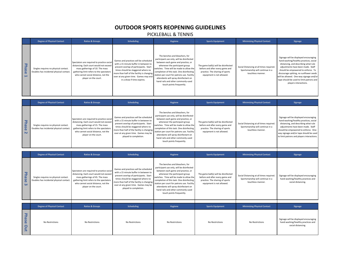## **OUTDOOR SPORTS REOPENING GUIDELINES**

#### PICKLEBALL & TENNIS

<span id="page-9-0"></span>

|                                 | <b>Degree of Physical Contact</b>                                                | <b>Ratios &amp; Groups</b>                                                                                                                                                                                                          | <b>Scheduling</b>                                                                                                                                                                                                                                                                   | Hygiene                                                                                                                                                                                                                                                                                                                                                                                                | <b>Sports Equipment</b>                                                                                                                 | <b>Minimizing Physical Contact</b>                                                                | Signage                                                                                                                                                                                                                                                                                                                                                       |
|---------------------------------|----------------------------------------------------------------------------------|-------------------------------------------------------------------------------------------------------------------------------------------------------------------------------------------------------------------------------------|-------------------------------------------------------------------------------------------------------------------------------------------------------------------------------------------------------------------------------------------------------------------------------------|--------------------------------------------------------------------------------------------------------------------------------------------------------------------------------------------------------------------------------------------------------------------------------------------------------------------------------------------------------------------------------------------------------|-----------------------------------------------------------------------------------------------------------------------------------------|---------------------------------------------------------------------------------------------------|---------------------------------------------------------------------------------------------------------------------------------------------------------------------------------------------------------------------------------------------------------------------------------------------------------------------------------------------------------------|
| 모<br><b>as</b><br>$\sigma$<br>F | Singles requires no physical contact.<br>Doubles has incidental physical contact | Spectators are required to practice social<br>distancing. Each court would not exceed<br>mass gatherings of 10. The mass<br>gathering limit refers to the spectators<br>who cannot social distance, not the<br>player on the court. | Games and practices will be scheduled<br>with a 15 minute buffer in between to<br>prevent overlap of participants. Start<br>times should be staggered where no<br>more than half of the facility is changing<br>over at any given time. Games may end<br>in a draw if time expires. | The benches and bleachers, for<br>participant use only, will be disinfected<br>between each game and practice, or<br>whenever the participant group<br>switches. Time will be made to allow the<br>completion of this task. One disinfecting<br>station per court for patrons use. Facility<br>attendants will spray disinfectant on<br>hand rails and other commonly-used<br>touch points frequently. | The game ball(s) will be disinfected<br>before and after every game and<br>practice. The sharing of sports<br>equipment is not allowed. | Social Distancing at all times required.<br>Sportsmanship will continue in a<br>touchless manner. | Signage will be displayed encouraging<br>hand washing/healthy practices, social<br>distancing, and describing what rule<br>adjustments have been made. Staff<br>should be empowered to enforce. To<br>discourage spitting, no sunflower seeds<br>will be allowed. One-way signage and/or<br>tape should be used to limit patrons and<br>players interactions. |

|        | <b>Degree of Physical Contact</b>                                                | <b>Ratios &amp; Groups</b>                                                                                                                                                                                                          | <b>Scheduling</b>                                                                                                                                                                                                                                                             | Hygiene                                                                                                                                                                                                                                                                                                                                                                                                | <b>Sports Equipment</b>                                                                                                                 | <b>Minimizing Physical Contact</b>                                                                | Signage                                                                                                                                                                                                                                                                                      |
|--------|----------------------------------------------------------------------------------|-------------------------------------------------------------------------------------------------------------------------------------------------------------------------------------------------------------------------------------|-------------------------------------------------------------------------------------------------------------------------------------------------------------------------------------------------------------------------------------------------------------------------------|--------------------------------------------------------------------------------------------------------------------------------------------------------------------------------------------------------------------------------------------------------------------------------------------------------------------------------------------------------------------------------------------------------|-----------------------------------------------------------------------------------------------------------------------------------------|---------------------------------------------------------------------------------------------------|----------------------------------------------------------------------------------------------------------------------------------------------------------------------------------------------------------------------------------------------------------------------------------------------|
| മ<br>N | Singles requires no physical contact.<br>Doubles has incidental physical contact | Spectators are required to practice social<br>distancing. Each court would not exceed<br>mass gatherings of 15. The mass<br>gathering limit refers to the spectators<br>who cannot social distance, not the<br>player on the court. | Games and practices will be scheduled<br>with a 15 minute buffer in between to<br>prevent overlap of participants. Start<br>times should be staggered where no<br>more than half of the facility is changing<br>over at any given time. Games may be<br>played to completion. | The benches and bleachers, for<br>participant use only, will be disinfected<br>between each game and practice, or<br>whenever the participant group<br>switches. Time will be made to allow the<br>completion of this task. One disinfecting<br>station per court for patrons use. Facility<br>attendants will spray disinfectant on<br>hand rails and other commonly-used<br>touch points frequently. | The game ball(s) will be disinfected<br>before and after every game and<br>practice. The sharing of sports<br>equipment is not allowed. | Social Distancing at all times required.<br>Sportsmanship will continue in a<br>touchless manner. | Signage will be displayed encouraging<br>hand washing/healthy practices, social<br>distancing, and describing what rule<br>adjustments have been made. Staff<br>should be empowered to enforce. One-<br>way signage and/or tape should be used<br>to limit patrons and players interactions. |

|                                                        | <b>Degree of Physical Contact</b>                                                 | <b>Ratios &amp; Groups</b>                                                                                                                                                                                                          | <b>Scheduling</b>                                                                                                                                                                                                                                                             | Hygiene                                                                                                                                                                                                                                                                                                                                                                                                | <b>Sports Equipment</b>                                                                                                                 | <b>Minimizing Physical Contact</b>                                                                | Signage                                                                                           |
|--------------------------------------------------------|-----------------------------------------------------------------------------------|-------------------------------------------------------------------------------------------------------------------------------------------------------------------------------------------------------------------------------------|-------------------------------------------------------------------------------------------------------------------------------------------------------------------------------------------------------------------------------------------------------------------------------|--------------------------------------------------------------------------------------------------------------------------------------------------------------------------------------------------------------------------------------------------------------------------------------------------------------------------------------------------------------------------------------------------------|-----------------------------------------------------------------------------------------------------------------------------------------|---------------------------------------------------------------------------------------------------|---------------------------------------------------------------------------------------------------|
| 모<br>as<br><sub>O</sub><br>$\boldsymbol{\omega}$       | Singles requires no physical contact.<br>Doubles has incidental physical contact. | Spectators are required to practice social<br>distancing. Each court would not exceed<br>mass gatherings of 45. The mass<br>gathering limit refers to the spectators<br>who cannot social distance, not the<br>player on the court. | Games and practices will be scheduled<br>with a 15 minute buffer in between to<br>prevent overlap of participants. Start<br>times should be staggered where no<br>more than half of the facility is changing<br>over at any given time. Games may be<br>played to completion. | The benches and bleachers, for<br>participant use only, will be disinfected<br>between each game and practice, or<br>whenever the participant group<br>switches. Time will be made to allow the<br>completion of this task. One disinfecting<br>station per court for patrons use. Facility<br>attendants will spray disinfectant on<br>hand rails and other commonly-used<br>touch points frequently. | The game ball(s) will be disinfected<br>before and after every game and<br>practice. The sharing of sports<br>equipment is not allowed. | Social Distancing at all times required.<br>Sportsmanship will continue in a<br>touchless manner. | Signage will be displayed encouraging<br>hand washing/healthy practices and<br>social distancing. |
|                                                        | <b>Degree of Physical Contact</b>                                                 | <b>Ratios &amp; Groups</b>                                                                                                                                                                                                          | <b>Scheduling</b>                                                                                                                                                                                                                                                             | Hygiene                                                                                                                                                                                                                                                                                                                                                                                                | <b>Sports Equipment</b>                                                                                                                 | <b>Minimizing Physical Contact</b>                                                                | Signage                                                                                           |
| <b>Phas</b><br>$\mathbf \sigma$<br>Ou<br>$\rightarrow$ | No Restrictions                                                                   | No Restrictions                                                                                                                                                                                                                     | No Restrictions                                                                                                                                                                                                                                                               | No Restrictions                                                                                                                                                                                                                                                                                                                                                                                        | No Restrictions                                                                                                                         | No Restrictions                                                                                   | Signage will be displayed encouraging<br>hand washing/healthy practices and<br>social distancing. |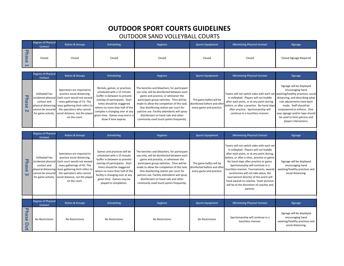# **OUTDOOR SPORT COURTS GUIDELINES**

## OUTDOOR SAND VOLLEYBALL COURTS

<span id="page-10-0"></span>

|                                                     | <b>Degree of Physical</b><br><b>Contact</b> | <b>Ratios &amp; Groups</b> | <b>Scheduling</b> | Hygiene | <b>Sports Equipment</b> | <b>Minimizing Physical Contact</b> | <b>Signage</b>          |
|-----------------------------------------------------|---------------------------------------------|----------------------------|-------------------|---------|-------------------------|------------------------------------|-------------------------|
| ਾਰ<br>- 3<br>  വ<br>ျွမ<br>$\overline{\phantom{0}}$ | Closed                                      | Closed                     | Closed            | Closed  | Closed                  | Closed                             | Closed Signage Required |

|                                            | <b>Degree of Physical</b><br><b>Contact</b> | <b>Ratios &amp; Groups</b>                                                                                                                                                                                                                                                                                             | <b>Scheduling</b>                                                                                                                                                                                                                                                                         | Hygiene                                                                                                                                                                                                                                                                                                                                                                                             | <b>Sports Equipment</b>                                                              | <b>Minimizing Physical Contact</b>                                                                                                                                                                                                                                                        | Signage                                                                                                                                                                                                                                                          |
|--------------------------------------------|---------------------------------------------|------------------------------------------------------------------------------------------------------------------------------------------------------------------------------------------------------------------------------------------------------------------------------------------------------------------------|-------------------------------------------------------------------------------------------------------------------------------------------------------------------------------------------------------------------------------------------------------------------------------------------|-----------------------------------------------------------------------------------------------------------------------------------------------------------------------------------------------------------------------------------------------------------------------------------------------------------------------------------------------------------------------------------------------------|--------------------------------------------------------------------------------------|-------------------------------------------------------------------------------------------------------------------------------------------------------------------------------------------------------------------------------------------------------------------------------------------|------------------------------------------------------------------------------------------------------------------------------------------------------------------------------------------------------------------------------------------------------------------|
| 7<br>മ<br>$\mathbf \sigma$<br>$\mathbf{N}$ | Volleyball has<br>contact and               | Spectators are required to<br>practice social distancing.<br>incidental physical Each court would not exceed<br>mass gatherings of 15. The<br>physical distancing mass gathering limit refers to<br>cannot be ensured the spectators who cannot<br>for game activity. social distance, not the player<br>on the court. | Rentals, games, or practices<br>scheduled with a 15 minute<br>buffer in between to prevent<br>overlap of participants. Start<br>times should be staggered<br>where no more than half of the<br>complex is changing over at any<br>given time. Games may end in a<br>draw if time expires. | The benches and bleachers, for participant<br>use only, will be disinfected between each<br>game and practice, or whenever the<br>participant group switches. Time will be<br>made to allow the completion of this task.<br>One disinfecting station per court for<br>patrons use. Facility attendants will spray<br>disinfectant on hand rails and other<br>commonly-used touch points frequently. | The game ball(s) will be<br>disinfected before and after<br>every game and practice. | Teams will not switch sides with each set washing/healthy practices, social<br>in volleyball. Players will not huddle<br>after each point, or at any point during,<br>before, or after a practice. No hand slaps<br>after practice. Sportsmanship will<br>continue in a touchless manner. | Signage will be displayed<br>encouraging hand<br>distancing, and describing what<br>rule adjustments have been<br>made. Staff should be<br>empowered to enforce. One-<br>way signage and/or tape should<br>be used to limit patrons and<br>players interactions. |

|                     | <b>Degree of Physical</b><br><b>Contact</b>                                                     | <b>Ratios &amp; Groups</b>                                                                                                                                                                                                                                    | <b>Scheduling</b>                                                                                                                                                                                                                                                                   | Hygiene                                                                                                                                                                                                                                                                                                                                                                                             | <b>Sports Equipment</b>                                                              | <b>Minimizing Physical Contact</b>                                                                                                                                                                                                                                                                                                                                                                                                                                                      | <b>Signage</b>                                                                                       |
|---------------------|-------------------------------------------------------------------------------------------------|---------------------------------------------------------------------------------------------------------------------------------------------------------------------------------------------------------------------------------------------------------------|-------------------------------------------------------------------------------------------------------------------------------------------------------------------------------------------------------------------------------------------------------------------------------------|-----------------------------------------------------------------------------------------------------------------------------------------------------------------------------------------------------------------------------------------------------------------------------------------------------------------------------------------------------------------------------------------------------|--------------------------------------------------------------------------------------|-----------------------------------------------------------------------------------------------------------------------------------------------------------------------------------------------------------------------------------------------------------------------------------------------------------------------------------------------------------------------------------------------------------------------------------------------------------------------------------------|------------------------------------------------------------------------------------------------------|
| <b>Phase</b><br>ω   | Volleyball has<br>incidental physical<br>contact and<br>cannot be ensured<br>for game activity. | Spectators are required to<br>practice social distancing.<br>Each court would not exceed<br>mass gatherings of 45. The<br>physical distancing mass gathering limit refers to<br>the spectators who cannot<br>social distance, not the player<br>on the court. | Games and practices will be<br>scheduled with a 15 minute<br>buffer in between to prevent<br>overlap of participants. Start<br>times should be staggered<br>where no more than half of the<br>facility is changing over at any<br>given time. Games may be<br>played to completion. | The benches and bleachers, for participant<br>use only, will be disinfected between each<br>game and practice, or whenever the<br>participant group switches. Time will be<br>made to allow the completion of this task.<br>One disinfecting station per court for<br>patrons use. Facility attendants will spray<br>disinfectant on hand rails and other<br>commonly-used touch points frequently. | The game ball(s) will be<br>disinfected before and after<br>every game and practice. | Teams will not switch sides with each set<br>in volleyball. Players will not huddle<br>after each point, or at any point during,<br>before, or after a clinic, practice or game.<br>No hand slaps after practice or game.<br>Sportsmanship will continue in a<br>touchless manner. Tournaments: awards<br>ceremonies will not take place, the<br>tournament director of the event will<br>hand awards to coaches. Team pictures<br>will be at the discretion of coaches and<br>parents. | Signage will be displayed<br>encouraging hand<br>washing/healthy practices and<br>social distancing. |
|                     | <b>Degree of Physical</b>                                                                       |                                                                                                                                                                                                                                                               |                                                                                                                                                                                                                                                                                     |                                                                                                                                                                                                                                                                                                                                                                                                     |                                                                                      |                                                                                                                                                                                                                                                                                                                                                                                                                                                                                         |                                                                                                      |
|                     | <b>Contact</b>                                                                                  | <b>Ratios &amp; Groups</b>                                                                                                                                                                                                                                    | <b>Scheduling</b>                                                                                                                                                                                                                                                                   | Hygiene                                                                                                                                                                                                                                                                                                                                                                                             | <b>Sports Equipment</b>                                                              | <b>Minimizing Physical Contact</b>                                                                                                                                                                                                                                                                                                                                                                                                                                                      | <b>Signage</b>                                                                                       |
| <b>Phase</b><br>Out | No Restrictions                                                                                 | No Restrictions                                                                                                                                                                                                                                               | No Restrictions                                                                                                                                                                                                                                                                     | No Restrictions                                                                                                                                                                                                                                                                                                                                                                                     | No Restrictions                                                                      | Sportsmanship will continue in a<br>touchless manner.                                                                                                                                                                                                                                                                                                                                                                                                                                   | Signage will be displayed<br>encouraging hand<br>washing/healthy practices and<br>social distancing. |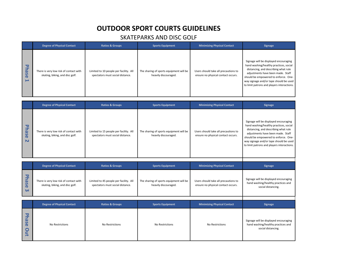# **OUTDOOR SPORT COURTS GUIDELINES**

## SKATEPARKS AND DISC GOLF

<span id="page-11-0"></span>

|                               | <b>Degree of Physical Contact</b>                                         | <b>Ratios &amp; Groups</b>                                                 | <b>Sports Equipment</b>                                         | <b>Minimizing Physical Contact</b>                                         | <b>Signage</b>                                                                                                                                                                                                                                                                               |
|-------------------------------|---------------------------------------------------------------------------|----------------------------------------------------------------------------|-----------------------------------------------------------------|----------------------------------------------------------------------------|----------------------------------------------------------------------------------------------------------------------------------------------------------------------------------------------------------------------------------------------------------------------------------------------|
| ᠊ᢦ<br>$\mathbf{\omega}$<br>Se | There is very low risk of contact with<br>skating, biking, and disc golf. | Limited to 10 people per facility. All<br>spectators must social distance. | The sharing of sports equipment will be<br>heavily discouraged. | Users should take all precautions to<br>ensure no physical contact occurs. | Signage will be displayed encouraging<br>hand washing/healthy practices, social<br>distancing, and describing what rule<br>adjustments have been made. Staff<br>should be empowered to enforce. One-<br>way signage and/or tape should be used<br>to limit patrons and players interactions. |

|                                       | <b>Degree of Physical Contact</b>                                         | <b>Ratios &amp; Groups</b>                                                 | <b>Sports Equipment</b>                                         | <b>Minimizing Physical Contact</b>                                         | Signage                                                                                                                                                                                                                                                                                      |
|---------------------------------------|---------------------------------------------------------------------------|----------------------------------------------------------------------------|-----------------------------------------------------------------|----------------------------------------------------------------------------|----------------------------------------------------------------------------------------------------------------------------------------------------------------------------------------------------------------------------------------------------------------------------------------------|
| ᠊ᠣ<br><b>Da</b><br>Se<br>$\mathbf{N}$ | There is very low risk of contact with<br>skating, biking, and disc golf. | Limited to 15 people per facility. All<br>spectators must social distance. | The sharing of sports equipment will be<br>heavily discouraged. | Users should take all precautions to<br>ensure no physical contact occurs. | Signage will be displayed encouraging<br>hand washing/healthy practices, social<br>distancing, and describing what rule<br>adjustments have been made. Staff<br>should be empowered to enforce. One-<br>way signage and/or tape should be used<br>to limit patrons and players interactions. |

|                                     | <b>Degree of Physical Contact</b>                                         | <b>Ratios &amp; Groups</b>                                                 | <b>Sports Equipment</b>                                         | <b>Minimizing Physical Contact</b>                                         | <b>Signage</b>                                                                                    |
|-------------------------------------|---------------------------------------------------------------------------|----------------------------------------------------------------------------|-----------------------------------------------------------------|----------------------------------------------------------------------------|---------------------------------------------------------------------------------------------------|
| ᠊ᢦ<br>hase<br>$\boldsymbol{\omega}$ | There is very low risk of contact with<br>skating, biking, and disc golf. | Limited to 45 people per facility. All<br>spectators must social distance. | The sharing of sports equipment will be<br>heavily discouraged. | Users should take all precautions to<br>ensure no physical contact occurs. | Signage will be displayed encouraging<br>hand washing/healthy practices and<br>social distancing. |
|                                     |                                                                           |                                                                            |                                                                 |                                                                            |                                                                                                   |
|                                     |                                                                           |                                                                            |                                                                 |                                                                            |                                                                                                   |
|                                     | <b>Degree of Physical Contact</b>                                         | <b>Ratios &amp; Groups</b>                                                 | <b>Sports Equipment</b>                                         | <b>Minimizing Physical Contact</b>                                         | <b>Signage</b>                                                                                    |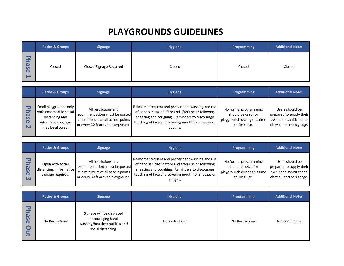# **PLAYGROUNDS GUIDELINES**

<span id="page-12-0"></span>

|                                                                           | <b>Ratios &amp; Groups</b> | <b>Signage</b>                 | <b>Hygiene</b> | Programming | <b>Additional Notes</b> |
|---------------------------------------------------------------------------|----------------------------|--------------------------------|----------------|-------------|-------------------------|
| 79<br>Þ<br>$\boldsymbol{\omega}$<br>$\mathbf{v}$<br>$\mathbf \sigma$<br>د | Closed                     | <b>Closed Signage Required</b> | Closed         | Closed      | Closed                  |

|               | <b>Ratios &amp; Groups</b>                                                                                    | <b>Signage</b>                                                                                                                   | <b>Hygiene</b>                                                                                                                                                                                                              | <b>Programming</b>                                                                           | <b>Additional Notes</b>                                                                           |
|---------------|---------------------------------------------------------------------------------------------------------------|----------------------------------------------------------------------------------------------------------------------------------|-----------------------------------------------------------------------------------------------------------------------------------------------------------------------------------------------------------------------------|----------------------------------------------------------------------------------------------|---------------------------------------------------------------------------------------------------|
| <b>D</b><br>N | Small playgrounds only<br>with enforceable social<br>distancing and<br>informative signage<br>may be allowed. | All restrictions and<br>recommendations must be posted<br>at a minimum at all access points<br>or every 30 ft around playground. | Reinforce frequent and proper handwashing and use<br>of hand sanitizer before and after use or following<br>sneezing and coughing. Reminders to discourage<br>touching of face and covering mouth for sneezes or<br>coughs. | No formal programming<br>should be used for<br>playgrounds during this time<br>to limit use. | Users should be<br>prepared to supply their<br>own hand sanitizer and<br>obey all posted signage. |

|                                           | <b>Ratios &amp; Groups</b>                                       | <b>Signage</b>                                                                                                                   | <b>Hygiene</b>                                                                                                                                                                                                              | Programming                                                                                  | <b>Additional Notes</b>                                                                           |
|-------------------------------------------|------------------------------------------------------------------|----------------------------------------------------------------------------------------------------------------------------------|-----------------------------------------------------------------------------------------------------------------------------------------------------------------------------------------------------------------------------|----------------------------------------------------------------------------------------------|---------------------------------------------------------------------------------------------------|
| $\mathbf \sigma$<br>$\boldsymbol{\omega}$ | Open with social<br>distancing. Informative<br>signage required. | All restrictions and<br>recommendations must be posted<br>at a minimum at all access points<br>or every 30 ft around playground. | Reinforce frequent and proper handwashing and use<br>of hand sanitizer before and after use or following<br>sneezing and coughing. Reminders to discourage<br>touching of face and covering mouth for sneezes or<br>coughs. | No formal programming<br>should be used for<br>playgrounds during this time<br>to limit use. | Users should be<br>prepared to supply their<br>own hand sanitizer and<br>obey all posted signage. |

|                                                                                                                 | <b>Ratios &amp; Groups</b> | <b>Signage</b>                                                                                       | <b>Hygiene</b>  | Programming     | <b>Additional Notes</b> |
|-----------------------------------------------------------------------------------------------------------------|----------------------------|------------------------------------------------------------------------------------------------------|-----------------|-----------------|-------------------------|
| 50<br>$\mathbf{\Omega}$<br>$\mathbf{v}$<br>$\ddot{\sigma}$<br>$\mathbf \Omega$<br>⊆<br>$\overline{\phantom{a}}$ | No Restrictions            | Signage will be displayed<br>encouraging hand<br>washing/healthy practices and<br>social distancing. | No Restrictions | No Restrictions | No Restrictions         |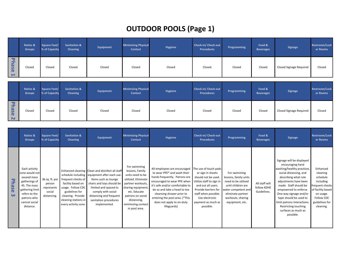# **OUTDOOR POOLS (Page 1)**

<span id="page-13-0"></span>

|                                                             | <b>Ratios &amp;</b><br><b>Groups</b> | Square Feet/<br>% of Capacity | <b>Sanitation &amp;</b><br><b>Cleaning</b> | Equipment | <b>Minimizing Physical</b><br><b>Contact</b> | Hygiene | <b>Check-in/ Check-out</b><br><b>Procedures</b> | Programming | Food &<br><b>Beverages</b> | <b>Signage</b>          | <b>Restroom/Lock</b><br>er Rooms |
|-------------------------------------------------------------|--------------------------------------|-------------------------------|--------------------------------------------|-----------|----------------------------------------------|---------|-------------------------------------------------|-------------|----------------------------|-------------------------|----------------------------------|
| $\overline{\mathbf{c}}$<br>5<br>gs<br>$\mathbf \sigma$<br>د | Closed                               | Closed                        | Closed                                     | Closed    | Closed                                       | Closed  | Closed                                          | Closed      | Closed                     | Closed Signage Required | Closed                           |

|                         | Ratios &<br><b>Groups</b> | Square Feet/<br>% of Capacity | <b>Sanitation &amp;</b><br><b>Cleaning</b> | Equipment | <b>Minimizing Physical</b><br><b>Contact</b> | <b>Hygiene</b> | <b>Check-in/ Check-out</b><br><b>Procedures</b> | Programming | Food &<br><b>Beverages</b> | <b>Signage</b>          | Restroom/Lock<br>er Rooms |
|-------------------------|---------------------------|-------------------------------|--------------------------------------------|-----------|----------------------------------------------|----------------|-------------------------------------------------|-------------|----------------------------|-------------------------|---------------------------|
| ᅮ<br>മ<br><b>S</b><br>N | Closed                    | Closed                        | Closed                                     | Closed    | Closed                                       | Closed         | Closed                                          | Closed      | Closed                     | Closed Signage Required | Closed                    |

|                                       | Ratios &<br><b>Groups</b>                                                                                                                                        | Square Feet/<br>% of Capacity                                   | <b>Sanitation &amp;</b><br><b>Cleaning</b>                                                                                                          | Equipment                                                                                                                                                                                                                                                               | <b>Minimizing Physical</b><br><b>Contact</b>                                                                                                                                                                    | Hygiene                                                                                                                                                                                                                                                                                                   | Check-in/ Check-out<br><b>Procedures</b>                                                                                                                                                                                 | Programming                                                                                                                                                            | Food &<br><b>Beverages</b>                   | <b>Signage</b>                                                                                                                                                                                                                                                                                                                                          | <b>Restroom/Lock</b><br>er Rooms                                                                                                                |
|---------------------------------------|------------------------------------------------------------------------------------------------------------------------------------------------------------------|-----------------------------------------------------------------|-----------------------------------------------------------------------------------------------------------------------------------------------------|-------------------------------------------------------------------------------------------------------------------------------------------------------------------------------------------------------------------------------------------------------------------------|-----------------------------------------------------------------------------------------------------------------------------------------------------------------------------------------------------------------|-----------------------------------------------------------------------------------------------------------------------------------------------------------------------------------------------------------------------------------------------------------------------------------------------------------|--------------------------------------------------------------------------------------------------------------------------------------------------------------------------------------------------------------------------|------------------------------------------------------------------------------------------------------------------------------------------------------------------------|----------------------------------------------|---------------------------------------------------------------------------------------------------------------------------------------------------------------------------------------------------------------------------------------------------------------------------------------------------------------------------------------------------------|-------------------------------------------------------------------------------------------------------------------------------------------------|
| <b>Phase</b><br>$\boldsymbol{\omega}$ | Each activity<br>zone would not<br>exceed mass<br>gatherings of<br>45. The mass<br>gathering limit<br>refers to the<br>patrons who<br>cannot social<br>distance. | 36 sq. ft. per<br>person<br>represents<br>social<br>distancing. | frequent checks of<br>facility based on<br>usage. Follow CDC<br>guidelines for<br>cleaning. Provide<br>cleaning stations in<br>every activity zone. | Enhanced cleaning Clean and disinfect all staff<br>schedule including equipment after each use.<br>Items such as lounge<br>chairs and toys should be<br>limited and spaced to<br>comply with social<br>distancing and frequent<br>sanitation procedures<br>implemented. | For swimming<br>lessons, Family<br>units need to be<br>utilized. Eliminate<br>partner workouts,<br>sharing equipment<br>etc. Educate<br>patrons on social<br>distancing,<br>minimizing contact<br>in pool area. | All employees are encouraged<br>to wear PPE* and wash their<br>hands frequently. Patrons are<br>encouraged to wear PPE when<br>it's safe and/or comfortable to<br>do so and take a head to toe<br>cleansing shower prior to<br>entering the pool area. (*This<br>does not apply to on-duty<br>lifeguards) | The use of touch pads<br>or sign in sheets<br>should not be used.<br>Utilize staff to sign in<br>and out all users.<br>Provide barriers for<br>staff when possible.<br>Use electronic<br>payment as much as<br>possible. | For swimming<br>lessons, family units<br>need to be utilized<br>until children are<br>water competent and<br>eliminate partner<br>workouts, sharing<br>equipment, etc. | All staff will<br>follow KDHE<br>Guidelines. | Signage will be displayed<br>encouraging hand<br>washing/healthy practices,<br>social distancing, and<br>describing what rule<br>adjustments have been<br>made. Staff should be<br>empowered to enforce.<br>One-way signage and/or<br>tape should be used to<br>limit patrons interactions.<br>Restricting touching<br>surfaces as much as<br>possible. | Enhanced<br>cleaning<br>schedule<br>including<br>frequent checks<br>of facility based<br>on usage.<br>Follow CDC<br>guidelines for<br>cleaning. |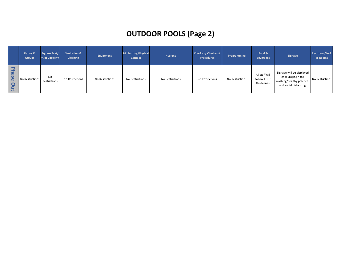# **OUTDOOR POOLS (Page 2)**

|                                          | <b>Ratios &amp;</b><br><b>Groups</b> | Square Feet/<br>% of Capacity | <b>Sanitation &amp;</b><br><b>Cleaning</b> | Equipment       | <b>Minimizing Physical</b><br><b>Contact</b> | <b>Hygiene</b>  | <b>Check-in/ Check-out</b><br><b>Procedures</b> | Programming     | Food &<br><b>Beverages</b>                   | <b>Signage</b>                                                                                       | <b>Restroom/Lock</b><br>er Rooms |
|------------------------------------------|--------------------------------------|-------------------------------|--------------------------------------------|-----------------|----------------------------------------------|-----------------|-------------------------------------------------|-----------------|----------------------------------------------|------------------------------------------------------------------------------------------------------|----------------------------------|
| 고<br><b>ase</b><br><b>O</b><br>$\bar{ }$ | No Restrictions                      | No<br>Restrictions            | No Restrictions                            | No Restrictions | No Restrictions                              | No Restrictions | No Restrictions                                 | No Restrictions | All staff will<br>follow KDHE<br>Guidelines. | Signage will be displayed<br>encouraging hand<br>washing/healthy practices<br>and social distancing. | No Restrictions                  |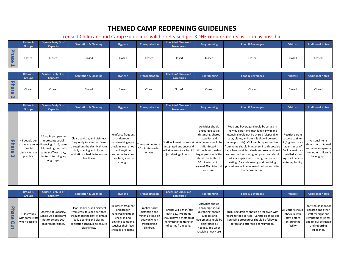# **THEMED CAMP REOPENING GUIDELINES**

#### Licensed Childcare and Camp Guidelines will be released per KDHE requirements as soon as possible

<span id="page-15-0"></span>

|                                                           | Ratios &<br><b>Groups</b> | Square Feet/% of<br>Capacity | <b>Sanitation &amp; Cleaning</b> | Hygiene | Transportation | <b>Check-in/ Check-out</b><br><b>Procedures</b> | Programming | <b>Food &amp; Beverages</b> | <b>Visitors</b> | <b>Additional Notes</b> |
|-----------------------------------------------------------|---------------------------|------------------------------|----------------------------------|---------|----------------|-------------------------------------------------|-------------|-----------------------------|-----------------|-------------------------|
| --<br>∍<br><b>as</b><br>$\mathbf \sigma$<br>$\rightarrow$ | Closed                    | Closed                       | Closed                           | Closed  | Closed         | Closed                                          | Closed      | Closed                      | Closed          | Closed                  |

|                                         | <b>Ratios &amp;</b><br><b>Groups</b> | Square Feet/% of<br>Capacity | <b>Sanitation &amp; Cleaning</b> | Hygiene | Transportation | <b>Check-in/ Check-out</b><br><b>Procedures</b> | Programming | <b>Food &amp; Beverages</b> | <b>Visitors</b> | <b>Additional Notes</b> |
|-----------------------------------------|--------------------------------------|------------------------------|----------------------------------|---------|----------------|-------------------------------------------------|-------------|-----------------------------|-----------------|-------------------------|
| PE I<br>ase<br>$\overline{\phantom{0}}$ | Closed                               | Closed                       | Closed                           | Closed  | Closed         | Closed                                          | Closed      | Closed                      | Closed          | Closed                  |

|                                    | Ratios &<br><b>Groups</b>                                 | Square Feet/% of<br>Capacity                                                                                                                                                  | <b>Sanitation &amp; Cleaning</b>                                                                                                                                            | Hygiene                                                                                                                                             | <b>Transportation</b>                                | <b>Check-in/ Check-out</b><br><b>Procedures</b>                                                                                                       | Programming                                                                                                                                           | <b>Food &amp; Beverages</b>                                                                                                                                                                                                                                                                                                                                                                                                                                                                                                                                                                       | <b>Visitors</b>                                                                                                                          | <b>Additional Notes</b>                                                                              |
|------------------------------------|-----------------------------------------------------------|-------------------------------------------------------------------------------------------------------------------------------------------------------------------------------|-----------------------------------------------------------------------------------------------------------------------------------------------------------------------------|-----------------------------------------------------------------------------------------------------------------------------------------------------|------------------------------------------------------|-------------------------------------------------------------------------------------------------------------------------------------------------------|-------------------------------------------------------------------------------------------------------------------------------------------------------|---------------------------------------------------------------------------------------------------------------------------------------------------------------------------------------------------------------------------------------------------------------------------------------------------------------------------------------------------------------------------------------------------------------------------------------------------------------------------------------------------------------------------------------------------------------------------------------------------|------------------------------------------------------------------------------------------------------------------------------------------|------------------------------------------------------------------------------------------------------|
| ᅮ<br>hase<br>$\boldsymbol{\omega}$ | 45 people per<br>if social<br>distancing not<br>possible. | 36 sq. ft. per person<br>represents social<br>active use zone distancing. 1:15, same<br>children in group with<br>same staff each day,<br>limited intermingling<br>of groups. | Clean, sanitize, and disinfect<br>frequently touched surfaces<br>throughout the day. Maintain<br>daily opening and closing<br>sanitation schedule to ensure<br>cleanliness. | Reinforce frequent<br>and proper<br>handwashing upon<br>check-in, every hour<br>and anytime<br>someone touches<br>their face, sneezes<br>or coughs. | Transport limited to<br>30 minutes on bus<br>or van. | Staff will meet parents at equipment should be<br>designated entrance and<br>will sign in/out each child throughout the day,<br>(no sharing of pens). | Activities should<br>encourage social<br>distancing, shared<br>supplies and<br>disinfected<br>should be limited to<br>20 minutes, not to<br>one time. | Food and beverages should be served in<br>individual portions (not family style) and<br>utensils should not be shared (disposable<br>cups, plates, and utensils should be used<br>when possible). Children bringing lunches<br>from home should bring them in a disposable<br>bag when possible. Meals and snacks should facility, maintain<br>larger group activities be consumed with assigned group and should<br>not share space with other groups when<br>eating. Careful cleaning and sanitizing<br>exceed 30 children at procedures will be followed before and after<br>food consumption. | Restrict parent<br>access to sign-<br>in/sign-out area<br>at entrance of<br>detailed visitor<br>log of all persons<br>entering facility. | Personal items<br>should be contained<br>and remain separate<br>from other children's<br>belongings. |

|                                                | <b>Ratios &amp;</b><br><b>Groups</b>             | Square Feet/% of<br>Capacity                                                            | <b>Sanitation &amp; Cleaning</b>                                                                                                                                            | Hygiene                                                                                                                              | <b>Transportation</b>                                                                              | <b>Check-in/ Check-out</b><br>Procedures                                                                                    | Programming                                                                                                                                                      | <b>Food &amp; Beverages</b>                                                                                                                                                | <b>Visitors</b>                                                                   | <b>Additional Notes</b>                                                                                                                          |
|------------------------------------------------|--------------------------------------------------|-----------------------------------------------------------------------------------------|-----------------------------------------------------------------------------------------------------------------------------------------------------------------------------|--------------------------------------------------------------------------------------------------------------------------------------|----------------------------------------------------------------------------------------------------|-----------------------------------------------------------------------------------------------------------------------------|------------------------------------------------------------------------------------------------------------------------------------------------------------------|----------------------------------------------------------------------------------------------------------------------------------------------------------------------------|-----------------------------------------------------------------------------------|--------------------------------------------------------------------------------------------------------------------------------------------------|
| <b>D</b><br>$\omega$<br><b>JS</b><br>$\bar{ }$ | 1:15 groups<br>with same staff<br>when possible. | Operate at Capacity,<br>School Age programs<br>not to exceed 100<br>children per space. | Clean, sanitize, and disinfect<br>frequently touched surfaces<br>throughout the day. Maintain<br>daily opening and closing<br>sanitation schedule to ensure<br>cleanliness. | Reinforce frequent<br>and proper<br>handwashing upon<br>check-in and<br>anytime someone<br>touches their face,<br>sneezes or coughs. | Practice social<br>distancing and<br>minimize time on<br>bus/van when<br>transporting<br>children. | Parents will sign in/out<br>each day. Programs<br>should have a method of<br>minimizing the transfer<br>of germs from pens. | Activities should<br>encourage social<br>distancing, shared<br>supplies and<br>equipment should be<br>disinfected as<br>needed, and when<br>receiving heavy use. | KDHE Regulations should be followed with<br>regard to food service. Careful cleaning and<br>sanitizing procedures should be followed<br>before and after food consumption. | All visitors should<br>check in with<br>staff before<br>entering the<br>facility. | Staff should monitor<br>children and other<br>staff for signs and<br>symptoms of illness<br>and follow exclusion<br>and reporting<br>guidelines. |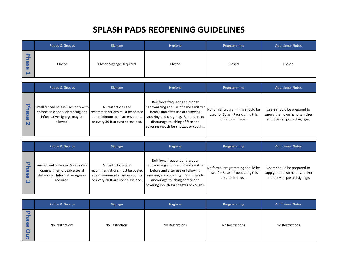# **SPLASH PADS REOPENING GUIDELINES**

<span id="page-16-0"></span>

|                                                                     | <b>Ratios &amp; Groups</b> | <b>Signage</b>          | <b>Hygiene</b> | Programming | <b>Additional Notes</b> |
|---------------------------------------------------------------------|----------------------------|-------------------------|----------------|-------------|-------------------------|
| -<br>$\overline{\mathbf{a}}$<br>$\Omega$<br>$\mathbf \sigma$<br>. . | Closed                     | Closed Signage Required | Closed         | Closed      | Closed                  |

|                                  | <b>Ratios &amp; Groups</b>                                                                                        | <b>Signage</b>                                                                                                                   | <b>Hygiene</b>                                                                                                                                                                                                                 | <b>Programming</b>                                                                        | <b>Additional Notes</b>                                                                        |
|----------------------------------|-------------------------------------------------------------------------------------------------------------------|----------------------------------------------------------------------------------------------------------------------------------|--------------------------------------------------------------------------------------------------------------------------------------------------------------------------------------------------------------------------------|-------------------------------------------------------------------------------------------|------------------------------------------------------------------------------------------------|
| $\mathbf{c}$<br>മ<br>5<br>Œ<br>N | Small fenced Splash Pads only with<br>enforceable social distancing and<br>informative signage may be<br>allowed. | All restrictions and<br>recommendations must be posted<br>at a minimum at all access points<br>or every 30 ft around splash pad. | Reinforce frequent and proper<br>handwashing and use of hand sanitizer<br>before and after use or following<br>sneezing and coughing. Reminders to<br>discourage touching of face and<br>covering mouth for sneezes or coughs. | No formal programming should be<br>used for Splash Pads during this<br>time to limit use. | Users should be prepared to<br>supply their own hand sanitizer<br>and obey all posted signage. |

|                                                         | <b>Ratios &amp; Groups</b>                                                                                      | <b>Signage</b>                                                                                                                   | <b>Hygiene</b>                                                                                                                                                                                                                 | Programming                                                                               | <b>Additional Notes</b>                                                                        |
|---------------------------------------------------------|-----------------------------------------------------------------------------------------------------------------|----------------------------------------------------------------------------------------------------------------------------------|--------------------------------------------------------------------------------------------------------------------------------------------------------------------------------------------------------------------------------|-------------------------------------------------------------------------------------------|------------------------------------------------------------------------------------------------|
| $\mathbf{C}$<br>മ<br><b>QG</b><br>$\boldsymbol{\omega}$ | Fenced and unfenced Splash Pads<br>open with enforceable social<br>distancing. Informative signage<br>required. | All restrictions and<br>recommendations must be posted<br>at a minimum at all access points<br>or every 30 ft around splash pad. | Reinforce frequent and proper<br>handwashing and use of hand sanitizer<br>before and after use or following<br>sneezing and coughing. Reminders to<br>discourage touching of face and<br>covering mouth for sneezes or coughs. | No formal programming should be<br>used for Splash Pads during this<br>time to limit use. | Users should be prepared to<br>supply their own hand sanitizer<br>and obey all posted signage. |

|                                                                                                     | <b>Ratios &amp; Groups</b> | <b>Signage</b>  | Hygiene         | Programming     | <b>Additional Notes</b> |
|-----------------------------------------------------------------------------------------------------|----------------------------|-----------------|-----------------|-----------------|-------------------------|
| U<br>$\mathbf{\Omega}$<br>$\mathbf{v}$<br>$\mathbf \sigma$<br>$\bullet$<br>$\overline{\phantom{0}}$ | No Restrictions            | No Restrictions | No Restrictions | No Restrictions | No Restrictions         |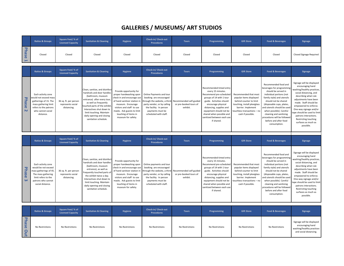# **GALLERIES / MUSEUMS/ ART STUDIOS**

<span id="page-17-0"></span>

|                                | <b>Ratios &amp; Groups</b>                                                                                                                                 | Square Feet/ % of<br><b>Licensed Capacity</b>             | <b>Sanitation &amp; Cleaning</b>                                                                                                                                                                                                                                                       | <b>Hygiene</b>                                                                                                                                                                                                                                 | Check-in/ Check-out<br><b>Procedures</b>                                                                                                                                                  | <b>Tours</b>                                                  | Programming                                                                                                                                                                                                                                                                          | <b>Gift Store</b>                                                                                                                                                                     | <b>Food &amp; Beverages</b>                                                                                                                                                                                                                                                                                                                          | <b>Signage</b>                                                                                                                                                                                                                                                                                                                                        |
|--------------------------------|------------------------------------------------------------------------------------------------------------------------------------------------------------|-----------------------------------------------------------|----------------------------------------------------------------------------------------------------------------------------------------------------------------------------------------------------------------------------------------------------------------------------------------|------------------------------------------------------------------------------------------------------------------------------------------------------------------------------------------------------------------------------------------------|-------------------------------------------------------------------------------------------------------------------------------------------------------------------------------------------|---------------------------------------------------------------|--------------------------------------------------------------------------------------------------------------------------------------------------------------------------------------------------------------------------------------------------------------------------------------|---------------------------------------------------------------------------------------------------------------------------------------------------------------------------------------|------------------------------------------------------------------------------------------------------------------------------------------------------------------------------------------------------------------------------------------------------------------------------------------------------------------------------------------------------|-------------------------------------------------------------------------------------------------------------------------------------------------------------------------------------------------------------------------------------------------------------------------------------------------------------------------------------------------------|
| <b>Phase</b><br>Ë              | Closed                                                                                                                                                     | Closed                                                    | Closed                                                                                                                                                                                                                                                                                 | Closed                                                                                                                                                                                                                                         | Closed                                                                                                                                                                                    | Closed                                                        | Closed                                                                                                                                                                                                                                                                               | Closed                                                                                                                                                                                | Closed                                                                                                                                                                                                                                                                                                                                               | <b>Closed Signage Required</b>                                                                                                                                                                                                                                                                                                                        |
|                                | <b>Ratios &amp; Groups</b>                                                                                                                                 | Square Feet/ % of<br><b>Licensed Capacity</b>             | <b>Sanitation &amp; Cleaning</b>                                                                                                                                                                                                                                                       | <b>Hygiene</b>                                                                                                                                                                                                                                 | Check-in/ Check-out<br><b>Procedures</b>                                                                                                                                                  | <b>Tours</b>                                                  | Programming                                                                                                                                                                                                                                                                          | <b>Gift Store</b>                                                                                                                                                                     | <b>Food &amp; Beverages</b>                                                                                                                                                                                                                                                                                                                          | Signage                                                                                                                                                                                                                                                                                                                                               |
| <b>Phase</b><br>$\overline{N}$ | Each activity zone<br>would not exceed mass<br>gatherings of 15. The<br>mass gathering limit<br>refers to the patrons<br>who cannot social<br>distance.    | 36 sq. ft. per person<br>represents social<br>distancing. | Clean, sanitize, and disinfect<br>handrails and door handles<br>(bathroom, museum<br>entrance) after every tour<br>as well as frequently<br>touched parts of the exhibit<br>Interactives shut down to<br>limit touching. Maintain<br>daily opening and closing<br>sanitation schedule. | Provide opportunity for<br>proper handwashing upon<br>check in and encourage use<br>of hand sanitizer station in<br>museum. Encourage<br>visitors and staff to use<br>masks. Ask guests to limit<br>touching of items in<br>museum for safety. | Online Payments and tour<br>booking are encouraged<br>hrough the website, a third-<br>party vendor, or by calling<br>the facility. In person<br>payments must be<br>scheduled with staff. | Recommended self-guided<br>or pre-booked tours of<br>exhibit. | Recommended timed entry<br>every 15 minutes.<br>Recommend pre-scheduled<br>groups of 14 with 1 tour<br>guide. Activities should<br>encourage physical<br>distancing, supplies and<br>equipment should not be<br>shared when possible and<br>sanitized between each use<br>if shared. | Recommended that most<br>popular items displayed<br>behind counter to limit<br>touching, install plexiglass<br>barrier. Implement<br>touchless transactions - no<br>cash if possible. | Recommended food and<br>beverages for programming<br>should be served in<br>individual portions (not<br>family style) and utensils<br>should not be shared<br>(disposable cups, plates,<br>and utensils should be used<br>when possible). Careful<br>cleaning and sanitizing<br>procedures will be followed<br>before and after food<br>consumption. | Signage will be displayed<br>encouraging hand<br>washing/healthy practices<br>social distancing, and<br>describing what rule<br>adjustments have been<br>made. Staff should be<br>empowered to enforce.<br>One-way signage and/or<br>ape should be used to limit<br>patrons interactions.<br>Restricting touching<br>surfaces as much as<br>possible. |
|                                | <b>Ratios &amp; Groups</b>                                                                                                                                 | Square Feet/ % of<br><b>Licensed Capacity</b>             | <b>Sanitation &amp; Cleaning</b>                                                                                                                                                                                                                                                       | <b>Hygiene</b>                                                                                                                                                                                                                                 | Check-in/ Check-out<br><b>Procedures</b>                                                                                                                                                  | <b>Tours</b>                                                  | Programming                                                                                                                                                                                                                                                                          | <b>Gift Store</b>                                                                                                                                                                     | <b>Food &amp; Beverages</b>                                                                                                                                                                                                                                                                                                                          | <b>Signage</b>                                                                                                                                                                                                                                                                                                                                        |
| <b>Phase</b><br>$\omega$       | Each activity zone<br>would be not exceed<br>mass gatherings of 45.<br>The mass gathering<br>limit refers to the<br>patrons who cannot<br>social distance. | 36 sq. ft. per person<br>represents social<br>distancing. | Clean, sanitize, and disinfect<br>handrails and door handles<br>(bathroom, museum<br>entrance), as well as<br>requently touched parts of<br>the exhibit twice a day.<br>Interactives shut down to<br>limit touching. Maintain<br>daily opening and closing<br>sanitation schedule.     | Provide opportunity for<br>proper handwashing upon<br>check in and encourage use<br>of hand sanitizer station in<br>museum. Encourage<br>visitors and staff to use<br>masks. Ask guests to limit<br>touching of items in<br>museum for safety. | Online payments and tour<br>booking are encouraged<br>hrough the website, a third<br>party vendor, or by calling<br>the facility. In person<br>payments must be<br>scheduled with staff.  | Recommended self-guided<br>or pre-booked tours of<br>exhibit. | Recommended timed entry<br>every 15 minutes.<br>Recommend pre-scheduled<br>groups of 14 with 1 tour<br>guide. Activities should<br>encourage physical<br>distancing, supplies and<br>equipment should not be<br>shared when possible and<br>sanitized between each use<br>if shared. | Recommended that most<br>popular items displayed<br>behind counter to limit<br>touching, install plexiglass<br>barrier. Implement<br>touchless transactions - no<br>cash if possible. | Recommended food and<br>beverages for programming<br>should be served in<br>individual portions (not<br>family style) and utensils<br>should not be shared<br>(disposable cups, plates,<br>and utensils should be used<br>when possible). Careful<br>cleaning and sanitizing<br>procedures will be followed<br>before and after food<br>consumption. | Signage will be displayed<br>encouraging hand<br>washing/healthy practices<br>social distancing, and<br>describing what rule<br>adjustments have been<br>made. Staff should be<br>empowered to enforce.<br>One-way signage and/or<br>ape should be used to limit<br>patrons interactions.<br>Restricting touching<br>surfaces as much as<br>possible. |
|                                | <b>Ratios &amp; Groups</b>                                                                                                                                 | Square Feet/ % of<br><b>Licensed Capacity</b>             | <b>Sanitation &amp; Cleaning</b>                                                                                                                                                                                                                                                       | <b>Hygiene</b>                                                                                                                                                                                                                                 | Check-in/ Check-out<br><b>Procedures</b>                                                                                                                                                  | <b>Tours</b>                                                  | Programming                                                                                                                                                                                                                                                                          | <b>Gift Store</b>                                                                                                                                                                     | <b>Food &amp; Beverages</b>                                                                                                                                                                                                                                                                                                                          | <b>Signage</b>                                                                                                                                                                                                                                                                                                                                        |
| Phase Out                      | No Restrictions                                                                                                                                            | No Restrictions                                           | No Restrictions                                                                                                                                                                                                                                                                        | No Restrictions                                                                                                                                                                                                                                | No Restrictions                                                                                                                                                                           | No Restrictions                                               | No Restrictions                                                                                                                                                                                                                                                                      | No Restrictions                                                                                                                                                                       | No Restrictions                                                                                                                                                                                                                                                                                                                                      | Signage will be displayed<br>encouraging hand<br>washing/healthy practices<br>and social distancing.                                                                                                                                                                                                                                                  |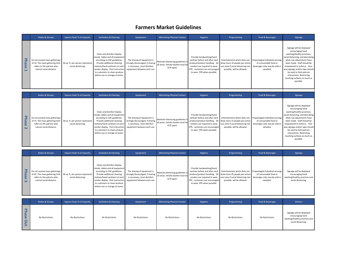## **Farmers Market Guidelines**

<span id="page-18-0"></span>

|                                                 | <b>Ratios &amp; Groups</b>                                                                                               | <b>Square Feet/ % of Capacity</b>                      | <b>Sanitation &amp; Cleaning</b>                                                                                                                                                                                                                                          | Equipment                                                                                                                      | <b>Minimizing Physical Contact</b>                                                    | Hygiene                                                                                                                                                                                     | Programming                                                                                                                       | <b>Food &amp; Beverages</b>                                                                           | Signage                                                                                                                                                                                                                                                                                                                                            |
|-------------------------------------------------|--------------------------------------------------------------------------------------------------------------------------|--------------------------------------------------------|---------------------------------------------------------------------------------------------------------------------------------------------------------------------------------------------------------------------------------------------------------------------------|--------------------------------------------------------------------------------------------------------------------------------|---------------------------------------------------------------------------------------|---------------------------------------------------------------------------------------------------------------------------------------------------------------------------------------------|-----------------------------------------------------------------------------------------------------------------------------------|-------------------------------------------------------------------------------------------------------|----------------------------------------------------------------------------------------------------------------------------------------------------------------------------------------------------------------------------------------------------------------------------------------------------------------------------------------------------|
| 공<br>$\omega$<br>$\mathbf{v}$<br>$\overline{0}$ | Do not exceed mass gatherings<br>of 10. The mass gathering limit<br>refers to the patrons who<br>cannot social distance. | 36 sq. ft. per person represents<br>social distancing. | Clean and disinfect display<br>stands, tables and all equipment<br>according to CDC guidelines.<br>Provide additional cleaning<br>stations/hand sanitizers at each<br>vendor display. Post instruction<br>to customers to clean produce<br>before use or storage at home. | The sharing of equipment is<br>strongly discouraged, if sharing<br>is necessary, must disinfect<br>equipment between each use. | Maintain distancing guidelines in<br>all areas. Vendor booths must be<br>10 ft apart. | Provide handwashing/hand<br>sanitizer before and after each<br>produce/product handling. All<br>vendors are required to wear<br>PPE, customers are encouraged<br>to wear PPE when possible. | Entertainment which does not<br>draw more 10 people per active<br>use zone if social distancing not<br>possible, will be allowed. | Prepackaged individual servings<br>of consumable food or<br>beverages only may be sold or<br>sampled. | Signage will be displayed<br>encouraging hand<br>washing/healthy practices,<br>social distancing, and describing<br>what rule adjustments have<br>been made. Staff should be<br>empowered to enforce. One-<br>way signage and/or tape should<br>be used to limit patrons<br>interactions. Restricting<br>touching surfaces as much as<br>possible. |
|                                                 | <b>Ratios &amp; Groups</b>                                                                                               | <b>Square Feet/% of Capacity</b>                       | <b>Sanitation &amp; Cleaning</b>                                                                                                                                                                                                                                          | Equipment                                                                                                                      | <b>Minimizing Physical Contact</b>                                                    | Hygiene                                                                                                                                                                                     | Programming                                                                                                                       | <b>Food &amp; Beverages</b>                                                                           | Signage                                                                                                                                                                                                                                                                                                                                            |
| 고                                               | Do not exceed mass gatherings                                                                                            |                                                        | Clean and disinfect display<br>stands, tables and all equipment<br>according to CDC guidelines.                                                                                                                                                                           | The sharing of equipment is                                                                                                    |                                                                                       | Provide handwashing/hand                                                                                                                                                                    | sanitizer before and after each Fritertainment which does not Prepackaged individual servings                                     |                                                                                                       | Signage will be displayed<br>encouraging hand<br>washing/healthy practices,<br>social distancing, and describing<br>what rule adjustments have                                                                                                                                                                                                     |

|  | Do not exceed mass gatherings<br>of 15. The mass gathering limit 36 sq. ft. per person represents<br>refers to the patrons who<br>cannot social distance. | social distancing. | according to CDC guidelines.<br>Provide additional cleaning<br>stations/hand sanitizers at each<br>vendor display. Post instruction equipment between each use.<br>to customers to clean produce<br>before use or storage at home. | The sharing of equipment is<br>is necessary, must disinfect | Maintain distancing guidelines in<br>5. Strongly discouraged, if sharing all areas. Vendor booths must be I<br>10 ft apart. | sanitizer before and after each Entertainment which does not Prepackaged individual servings<br>produce/product handling. All draw more 15 people per active<br>PPE, customers are encouraged<br>to wear PPE when possible. | vendors are required to wear use zone if social distancing not beverages only may be sold or<br>possible, will be allowed. | of consumable food or<br>sampled. | what rule adjustments have<br>been made. Staff should be<br>empowered to enforce. One-<br>way signage and/or tape should<br>be used to limit patrons<br>interactions. Restricting<br>touching surfaces as much as<br>possible. |
|--|-----------------------------------------------------------------------------------------------------------------------------------------------------------|--------------------|------------------------------------------------------------------------------------------------------------------------------------------------------------------------------------------------------------------------------------|-------------------------------------------------------------|-----------------------------------------------------------------------------------------------------------------------------|-----------------------------------------------------------------------------------------------------------------------------------------------------------------------------------------------------------------------------|----------------------------------------------------------------------------------------------------------------------------|-----------------------------------|--------------------------------------------------------------------------------------------------------------------------------------------------------------------------------------------------------------------------------|
|--|-----------------------------------------------------------------------------------------------------------------------------------------------------------|--------------------|------------------------------------------------------------------------------------------------------------------------------------------------------------------------------------------------------------------------------------|-------------------------------------------------------------|-----------------------------------------------------------------------------------------------------------------------------|-----------------------------------------------------------------------------------------------------------------------------------------------------------------------------------------------------------------------------|----------------------------------------------------------------------------------------------------------------------------|-----------------------------------|--------------------------------------------------------------------------------------------------------------------------------------------------------------------------------------------------------------------------------|

|          | <b>Ratios &amp; Groups</b>                                                            | <b>Square Feet/% of Capacity</b>                                                       | <b>Sanitation &amp; Cleaning</b>                                                                                                                                                                                                                                                                      | Equipment                                                                                       | <b>Minimizing Physical Contact</b>                                                    | Hygiene                                                                                                                 | Programming                                                                                                                     | <b>Food &amp; Beverages</b>                                                                                                                                          | Signage                                                                                              |
|----------|---------------------------------------------------------------------------------------|----------------------------------------------------------------------------------------|-------------------------------------------------------------------------------------------------------------------------------------------------------------------------------------------------------------------------------------------------------------------------------------------------------|-------------------------------------------------------------------------------------------------|---------------------------------------------------------------------------------------|-------------------------------------------------------------------------------------------------------------------------|---------------------------------------------------------------------------------------------------------------------------------|----------------------------------------------------------------------------------------------------------------------------------------------------------------------|------------------------------------------------------------------------------------------------------|
| ase<br>ഄ | Do not exceed mass gatherings<br>refers to the patrons who<br>cannot social distance. | of 45. The mass gathering limit 36 sq. ft. per person represents<br>social distancing. | Clean and disinfect display<br>stands, tables and all equipment<br>according to CDC guidelines.<br>Provide additional cleaning<br>stations/hand sanitizers at each<br>vendor display. Post instruction equipment between each use.<br>to customers to clean produce<br>before use or storage at home. | The sharing of equipment is<br>strongly discouraged, if sharing<br>is necessary, must disinfect | Maintain distancing guidelines in<br>all areas. Vendor booths must be<br>10 ft apart. | Provide handwashing/hand<br>vendors are required to wear<br>PPE, customers are encouraged<br>to wear PPE when possible. | produce/product handling. All draw more 45 people per active<br>use zone if social distancing not<br>possible, will be allowed. | sanitizer before and after each Entertainment which does not Prepackaged individual servings<br>of consumable food or<br>t beverages only may be sold or<br>sampled. | Signage will be displayed<br>encouraging hand<br>washing/healthy practices and<br>social distancing. |

|              | <b>Ratios &amp; Groups</b> | <b>Square Feet/ % of Capacity</b> | <b>Sanitation &amp; Cleaning</b> | Equipment       | <b>Minimizing Physical Contact</b> | Hygiene         | Programming     | Food & Beverages | <b>Visitors</b>                                                                                      |
|--------------|----------------------------|-----------------------------------|----------------------------------|-----------------|------------------------------------|-----------------|-----------------|------------------|------------------------------------------------------------------------------------------------------|
| Phase<br>Dut | No Restrictions            | No Restrictions                   | No Restrictions                  | No Restrictions | No Restrictions                    | No Restrictions | No Restrictions | No Restrictions  | Signage will be displayed<br>encouraging hand<br>washing/healthy practices and<br>social distancing. |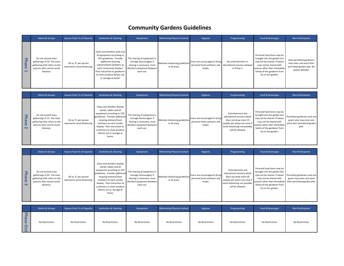# **Community Gardens Guidelines**

<span id="page-19-0"></span>

|                                           | <b>Ratios &amp; Groups</b>                                                                                                  | <b>Square Feet/ % of Capacity</b>                      | <b>Sanitation &amp; Cleaning</b>                                                                                                                                                                                                                              | Equipment                                                                                                                         | <b>Minimizing Physical Contact</b>              | Hygiene                                 | Programming                                                                                     | <b>Food &amp; Beverages</b>                                                                                                                                                                           | <b>Non-Participants</b>                                                                              |
|-------------------------------------------|-----------------------------------------------------------------------------------------------------------------------------|--------------------------------------------------------|---------------------------------------------------------------------------------------------------------------------------------------------------------------------------------------------------------------------------------------------------------------|-----------------------------------------------------------------------------------------------------------------------------------|-------------------------------------------------|-----------------------------------------|-------------------------------------------------------------------------------------------------|-------------------------------------------------------------------------------------------------------------------------------------------------------------------------------------------------------|------------------------------------------------------------------------------------------------------|
| ᅮ<br>$\overline{a}$<br>S<br>$\sigma$<br>F | Do not exceed mass<br>gatherings of 10. The mass<br>gathering limit refers to the<br>patrons who cannot social<br>distance. | 36 sq. ft. per person<br>represents social distancing. | Clean and disinfect tools and<br>all equipment according to<br>CDC guidelines. Provide<br>additional cleaning<br>stations/hand sanitizers at<br>each Community Garden.<br>Post instruction to gardeners<br>to clean produce before use<br>or storage at home. | The sharing of equipment is<br>strongly discouraged, if<br>sharing is necessary, must<br>disinfect equipment between<br>each use. | Maintain distancing guidelines<br>in all areas. | Users are encouraged to bring<br>masks. | No entertainment or<br>personal hand sanitizers and educational sessions allowed<br>in Phase 1. | Personal food items may be<br>brought into the garden but<br>may not be shared. Produce<br>may not be shared with<br>anyone other than immediate<br>family of the gardener from<br>his or her garden. | Only permitted gardeners<br>may enter and work their<br>permitted garden plot. No<br>guests allowed. |

|                                       | <b>Ratios &amp; Groups</b>                                                                                                  | <b>Square Feet/ % of Capacity</b>                      | <b>Sanitation &amp; Cleaning</b>                                                                                                                                                                                                                                                | Equipment                                                                                                                         | <b>Minimizing Physical Contact</b>              | Hygiene                                                                 | Programming                                                                                                                                                     | <b>Food &amp; Beverages</b>                                                                                                                                                                           | <b>Non-Participants</b>                                                                         |
|---------------------------------------|-----------------------------------------------------------------------------------------------------------------------------|--------------------------------------------------------|---------------------------------------------------------------------------------------------------------------------------------------------------------------------------------------------------------------------------------------------------------------------------------|-----------------------------------------------------------------------------------------------------------------------------------|-------------------------------------------------|-------------------------------------------------------------------------|-----------------------------------------------------------------------------------------------------------------------------------------------------------------|-------------------------------------------------------------------------------------------------------------------------------------------------------------------------------------------------------|-------------------------------------------------------------------------------------------------|
| ᅮ<br>Ρã<br><b>JSG</b><br>$\mathbf{N}$ | Do not exceed mass<br>gatherings of 15. The mass<br>gathering limit refers to the<br>patrons who cannot social<br>distance. | 36 sq. ft. per person<br>represents social distancing. | Clean and disinfect display<br>stands, tables and all<br>equipment according to CDC<br>guidelines. Provide additional<br>cleaning stations/hand<br>sanitizers at each vendor<br>display. Post instruction to<br>customers to clean produce<br>before use or storage at<br>home. | The sharing of equipment is<br>strongly discouraged, if<br>sharing is necessary, must<br>disinfect equipment between<br>each use. | Maintain distancing guidelines<br>in all areas. | Users are encouraged to bring<br>personal hand sanitizers and<br>masks. | Entertainment and<br>educational sessions which<br>does not draw more 15<br>people per active use zone if<br>social distancing not possible<br>will be allowed. | Personal food items may be<br>brought into the garden but<br>may not be shared. Produce<br>may not be shared with<br>anyone other than immediate<br>family of the gardener from<br>his or her garden. | Permitted gardeners and one<br>guest only may enter and<br>work their permitted garden<br>plot. |

|                                                                         | <b>Ratios &amp; Groups</b>                                                                                                  | <b>Square Feet/ % of Capacity</b>                      | <b>Sanitation &amp; Cleaning</b>                                                                                                                                                                                                                                                | Equipment                                                                                                                         | <b>Minimizing Physical Contact</b>              | Hygiene                                                                 | Programming                                                                                                                                                      | <b>Food &amp; Beverages</b>                                                                                                                                                                          | <b>Non-Participants</b>                                                            |
|-------------------------------------------------------------------------|-----------------------------------------------------------------------------------------------------------------------------|--------------------------------------------------------|---------------------------------------------------------------------------------------------------------------------------------------------------------------------------------------------------------------------------------------------------------------------------------|-----------------------------------------------------------------------------------------------------------------------------------|-------------------------------------------------|-------------------------------------------------------------------------|------------------------------------------------------------------------------------------------------------------------------------------------------------------|------------------------------------------------------------------------------------------------------------------------------------------------------------------------------------------------------|------------------------------------------------------------------------------------|
| $\mathbf{\overline{v}}$<br>$\omega$<br><b>S</b><br>$\Omega$<br>$\omega$ | Do not exceed mass<br>gatherings of 45. The mass<br>gathering limit refers to the<br>patrons who cannot social<br>distance. | 36 sq. ft. per person<br>represents social distancing. | Clean and disinfect display<br>stands, tables and all<br>equipment according to CDC<br>guidelines. Provide additional<br>cleaning stations/hand<br>sanitizers at each vendor<br>display. Post instruction to<br>customers to clean produce<br>before use or storage at<br>home. | The sharing of equipment is<br>strongly discouraged, if<br>sharing is necessary, must<br>disinfect equipment between<br>each use. | Maintain distancing guidelines<br>in all areas. | Users are encouraged to bring<br>personal hand sanitizers and<br>masks. | Entertainment and<br>educational sessions which<br>does not draw more 45<br>people per active use zone if<br>social distancing not possible,<br>will be allowed. | Personal food items may be<br>brought into the garden but<br>may not be shared with<br>anyone other than immediate their permitted garden plot.<br>family of the gardener from<br>his or her garden. | may not be shared. Produce Permitted gardeners and one<br>guest may enter and work |

|                                         | <b>Ratios &amp; Groups</b> | <b>Square Feet/ % of Capacity</b> | <b>Sanitation &amp; Cleaning</b> | Equipment       | <b>Minimizing Physical Contact</b> | Hygiene         | Programming     | <b>Food &amp; Beverages</b> | <b>Non-Participants</b> |
|-----------------------------------------|----------------------------|-----------------------------------|----------------------------------|-----------------|------------------------------------|-----------------|-----------------|-----------------------------|-------------------------|
| യ<br>$\overline{M}$<br>$\mathbf \sigma$ | No Restrictions            | No Restrictions                   | No Restrictions                  | No Restrictions | No Restrictions                    | No Restrictions | No Restrictions | No Restrictions             | No Restrictions         |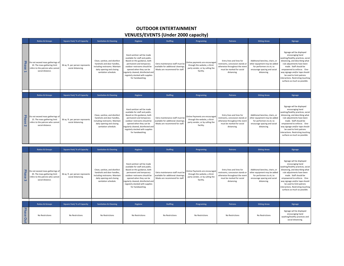#### **OUTDOOR ENTERTAINMENT**

#### **VENUES/EVENTS (Under 2000 capacity)**

<span id="page-20-0"></span>

|                                         | <b>Ratios &amp; Groups</b>                                                                                               | <b>Square Feet/% of Capacity</b>                       | <b>Sanitation &amp; Cleaning</b>                                                                                                                    | Hygiene                                                                                                                                                                                                                                                                          | <b>Staffing</b>                                                                                         | Programing                                                                                                      | <b>Patrons</b>                                                                                                                             | <b>Sitting Areas</b>                                                                                                                       | Signage                                                                                                                                                                                                                                                                                                                                         |
|-----------------------------------------|--------------------------------------------------------------------------------------------------------------------------|--------------------------------------------------------|-----------------------------------------------------------------------------------------------------------------------------------------------------|----------------------------------------------------------------------------------------------------------------------------------------------------------------------------------------------------------------------------------------------------------------------------------|---------------------------------------------------------------------------------------------------------|-----------------------------------------------------------------------------------------------------------------|--------------------------------------------------------------------------------------------------------------------------------------------|--------------------------------------------------------------------------------------------------------------------------------------------|-------------------------------------------------------------------------------------------------------------------------------------------------------------------------------------------------------------------------------------------------------------------------------------------------------------------------------------------------|
| <b>Phasi</b><br>$\sigma$                | Do not exceed mass gatherings of<br>10. The mass gathering limit<br>refers to the patrons who cannot<br>social distance. | 36 sq. ft. per person represents<br>social distancing. | Clean, sanitize, and disinfect<br>handrails and door handles,<br>including restrooms. Maintain<br>daily opening and closing<br>sanitation schedule. | Hand sanitizer will be made<br>available for staff and public.<br>Based on this guidance, both<br>permanent and temporary<br>outdoor restrooms should be<br>opened when they can be<br>regularly cleaned, disinfected and<br>regularly stocked with supplies<br>for handwashing. | Extra maintenance staff must be<br>available for additional cleanings<br>Masks are recommend for staff. | Online payments are encouraged<br>through the website, a third-<br>party vendor, or by calling the<br>facility. | Entry lines and lines for<br>restrooms, concession stands or<br>otherwise throughout the event<br>must be marked for social<br>distancing. | Additional benches, chairs, or<br>other equipment may be added<br>for performers to sit, to<br>encourage spacing and social<br>distancing. | Signage will be displayed<br>encouraging hand<br>washing/healthy practices, social<br>distancing, and describing what<br>rule adjustments have been<br>made. Staff should be<br>empowered to enforce. One-<br>way signage and/or tape should<br>be used to limit patrons<br>interactions. Restricting touching<br>surfaces as much as possible. |
|                                         |                                                                                                                          |                                                        |                                                                                                                                                     |                                                                                                                                                                                                                                                                                  |                                                                                                         |                                                                                                                 |                                                                                                                                            |                                                                                                                                            |                                                                                                                                                                                                                                                                                                                                                 |
|                                         | <b>Ratios &amp; Groups</b>                                                                                               | <b>Square Feet/% of Capacity</b>                       | <b>Sanitation &amp; Cleaning</b>                                                                                                                    | Hygiene                                                                                                                                                                                                                                                                          | <b>Staffing</b>                                                                                         | Programing                                                                                                      | <b>Patrons</b>                                                                                                                             | <b>Sitting Areas</b>                                                                                                                       | Signage                                                                                                                                                                                                                                                                                                                                         |
| <b>Phas</b><br>$\sigma$<br>$\mathbf{N}$ | Do not exceed mass gatherings of<br>15. The mass gathering limit<br>refers to the patrons who cannot<br>social distance. | 36 sq. ft. per person represents<br>social distancing. | Clean, sanitize, and disinfect<br>handrails and door handles.<br>including restrooms. Maintain<br>daily opening and closing<br>sanitation schedule. | Hand sanitizer will be made<br>available for staff and public.<br>Based on this guidance, both<br>permanent and temporary<br>outdoor restrooms should be<br>opened when they can be<br>regularly cleaned, disinfected and<br>regularly stocked with supplies<br>for handwashing. | Extra maintenance staff must be<br>available for additional cleanings<br>Masks are recommend for staff  | Online Payments are encouraged<br>through the website, a third-<br>party vendor, or by calling the<br>facility. | Entry lines and lines for<br>restrooms, concession stands or<br>otherwise throughout the event<br>must be marked for social<br>distancing. | Additional benches, chairs, or<br>other equipment may be added<br>for performers to sit, to<br>encourage spacing and social<br>distancing. | Signage will be displayed<br>encouraging hand<br>washing/healthy practices, social<br>distancing, and describing what<br>rule adjustments have been<br>made. Staff should be<br>empowered to enforce. One-<br>way signage and/or tape should<br>be used to limit patrons<br>interactions. Restricting touching<br>surfaces as much as possible. |
|                                         | <b>Ratios &amp; Groups</b>                                                                                               | <b>Square Feet/% of Capacity</b>                       | <b>Sanitation &amp; Cleaning</b>                                                                                                                    | Hygiene                                                                                                                                                                                                                                                                          | <b>Staffing</b>                                                                                         | Programing                                                                                                      | <b>Patrons</b>                                                                                                                             | <b>Sitting Areas</b>                                                                                                                       | <b>Signage</b>                                                                                                                                                                                                                                                                                                                                  |

|                   | <b>Ratios &amp; Groups</b>                                                                                               | <b>Square Feet/ % of Capacity</b>                      | <b>Sanitation &amp; Cleaning</b>                                                                                                                    | Hygiene                                                                                                                                                                                                                                                                          | <b>Staffing</b>                                                                                         | Programing                                                                                                      | <b>Patrons</b>                                                                                                                             | <b>Sitting Areas</b>                                                                                                                       | Signage                                                                                                                                                                                                                                                                                                                                         |
|-------------------|--------------------------------------------------------------------------------------------------------------------------|--------------------------------------------------------|-----------------------------------------------------------------------------------------------------------------------------------------------------|----------------------------------------------------------------------------------------------------------------------------------------------------------------------------------------------------------------------------------------------------------------------------------|---------------------------------------------------------------------------------------------------------|-----------------------------------------------------------------------------------------------------------------|--------------------------------------------------------------------------------------------------------------------------------------------|--------------------------------------------------------------------------------------------------------------------------------------------|-------------------------------------------------------------------------------------------------------------------------------------------------------------------------------------------------------------------------------------------------------------------------------------------------------------------------------------------------|
| Phase<br>$\omega$ | Do not exceed mass gatherings of<br>45. The mass gathering limit<br>refers to the patrons who cannot<br>social distance. | 36 sq. ft. per person represents<br>social distancing. | Clean, sanitize, and disinfect<br>handrails and door handles,<br>including restrooms. Maintain<br>daily opening and closing<br>sanitation schedule. | Hand sanitizer will be made<br>available for staff and public.<br>Based on this guidance, both<br>permanent and temporary<br>outdoor restrooms should be<br>opened when they can be<br>regularly cleaned, disinfected and<br>regularly stocked with supplies<br>for handwashing. | Extra maintenance staff must be<br>available for additional cleanings.<br>Masks are recommend for staff | Online Payments are encouraged<br>through the website, a third-<br>party vendor, or by calling the<br>facility. | Entry lines and lines for<br>restrooms, concession stands or<br>otherwise throughout the event<br>must be marked for social<br>distancing. | Additional benches, chairs, or<br>other equipment may be added<br>for performers to sit, to<br>encourage spacing and social<br>distancing. | Signage will be displayed<br>encouraging hand<br>washing/healthy practices, social<br>distancing, and describing what<br>rule adjustments have been<br>made. Staff should be<br>empowered to enforce. One-<br>way signage and/or tape should<br>be used to limit patrons<br>interactions. Restricting touching<br>surfaces as much as possible. |
|                   |                                                                                                                          |                                                        |                                                                                                                                                     |                                                                                                                                                                                                                                                                                  |                                                                                                         |                                                                                                                 |                                                                                                                                            |                                                                                                                                            |                                                                                                                                                                                                                                                                                                                                                 |
|                   | <b>Ratios &amp; Groups</b>                                                                                               | <b>Square Feet/% of Capacity</b>                       | <b>Sanitation &amp; Cleaning</b>                                                                                                                    | Hygiene                                                                                                                                                                                                                                                                          | <b>Staffing</b>                                                                                         | Programing                                                                                                      | <b>Patrons</b>                                                                                                                             | <b>Sitting Areas</b>                                                                                                                       | Signage                                                                                                                                                                                                                                                                                                                                         |
| Phase<br>Out      | No Restrictions                                                                                                          | No Restrictions                                        | No Restrictions                                                                                                                                     | No Restrictions                                                                                                                                                                                                                                                                  | No Restrictions                                                                                         | No Restrictions                                                                                                 | No Restrictions                                                                                                                            | No Restrictions                                                                                                                            | Signage will be displayed<br>encouraging hand<br>washing/healthy practices and<br>social distancing.                                                                                                                                                                                                                                            |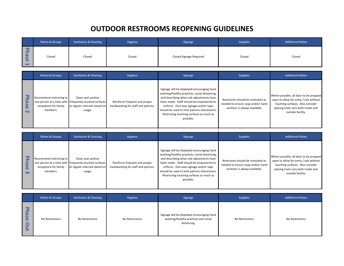# **OUTDOOR RESTROOMS REOPENING GUIDELINES**

<span id="page-21-0"></span>

|                                       | <b>Ratios &amp; Groups</b> | <b>Sanitation &amp; Cleaning</b> | Hygiene | <b>Signage</b>          | <b>Supplies</b> | <b>Additional Notes</b> |
|---------------------------------------|----------------------------|----------------------------------|---------|-------------------------|-----------------|-------------------------|
| മ<br>$\mathbf{u}$<br>$\mathbf \sigma$ | Closed                     | Closed                           | Closed  | Closed Signage Required | Closed          | Closed                  |

|                                      | <b>Ratios &amp; Groups</b>                                    | <b>Sanitation &amp; Cleaning</b>                                                                                       | <b>Hygiene</b>                                                      | Signage                                                                                                                                                                                                                                                                                                                               | <b>Supplies</b>                                                                                         | <b>Additional Notes</b>                                                                                                                                                         |
|--------------------------------------|---------------------------------------------------------------|------------------------------------------------------------------------------------------------------------------------|---------------------------------------------------------------------|---------------------------------------------------------------------------------------------------------------------------------------------------------------------------------------------------------------------------------------------------------------------------------------------------------------------------------------|---------------------------------------------------------------------------------------------------------|---------------------------------------------------------------------------------------------------------------------------------------------------------------------------------|
| മ<br>S<br>$\boldsymbol{\sigma}$<br>N | Recommend restricting to<br>exceptions for family<br>members. | Clean and sanitize<br>one person at a time with frequently touched surfaces<br>at regular intervals based on<br>usage. | Reinforce frequent and proper<br>handwashing for staff and patrons. | Signage will be displayed encouraging hand<br>washing/healthy practices, social distancing,<br>and describing what rule adjustments have<br>been made. Staff should be empowered to<br>enforce. One-way signage and/or tape<br>should be used to limit patrons interactions.<br>Restricting touching surfaces as much as<br>possible. | Restrooms should be restocked as<br>needed to ensure soap and/or hand<br>sanitizer is always available. | Where possible, all door to be propped<br>open to allow for entry / exit without<br>touching surfaces. Also consider<br>placing trash cans both inside and<br>outside facility. |

|                                                            | <b>Ratios &amp; Groups</b>                                    | <b>Sanitation &amp; Cleaning</b>                                                                                       | <b>Hygiene</b>                                                      | <b>Signage</b>                                                                                                                                                                                                                                                                                                                        | <b>Supplies</b>                                                                                         | <b>Additional Notes</b>                                                                                                                                                         |
|------------------------------------------------------------|---------------------------------------------------------------|------------------------------------------------------------------------------------------------------------------------|---------------------------------------------------------------------|---------------------------------------------------------------------------------------------------------------------------------------------------------------------------------------------------------------------------------------------------------------------------------------------------------------------------------------|---------------------------------------------------------------------------------------------------------|---------------------------------------------------------------------------------------------------------------------------------------------------------------------------------|
| 卫<br><b>g</b><br>$\mathbf \sigma$<br>$\boldsymbol{\omega}$ | Recommend restricting to<br>exceptions for family<br>members. | Clean and sanitize<br>one person at a time with frequently touched surfaces<br>at regular intervals based on<br>usage. | Reinforce frequent and proper<br>handwashing for staff and patrons. | Signage will be displayed encouraging hand<br>washing/healthy practices, social distancing,<br>and describing what rule adjustments have<br>been made. Staff should be empowered to<br>enforce. One-way signage and/or tape<br>should be used to limit patrons interactions.<br>Restricting touching surfaces as much as<br>possible. | Restrooms should be restocked as<br>needed to ensure soap and/or hand<br>sanitizer is always available. | Where possible, all door to be propped<br>open to allow for entry / exit without<br>touching surfaces. Also consider<br>placing trash cans both inside and<br>outside facility. |

┬

|                                                          | <b>Ratios &amp; Groups</b> | <b>Sanitation &amp; Cleaning</b> | Hygiene         | <b>Signage</b>                                                                                    | <b>Supplies</b> | <b>Additional Notes</b> |
|----------------------------------------------------------|----------------------------|----------------------------------|-----------------|---------------------------------------------------------------------------------------------------|-----------------|-------------------------|
| $\overline{\mathbf{v}}$<br>hase<br>$\mathbf \Omega$<br>Ξ | No Restrictions            | No Restrictions                  | No Restrictions | Signage will be displayed encouraging hand<br>washing/healthy practices and social<br>distancing. | No Restrictions | No Restrictions         |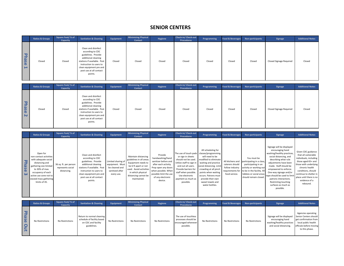#### **SENIOR CENTERS**

<span id="page-22-0"></span>

|            | <b>Ratios &amp; Groups</b> | Square Feet/% of<br>Capacity  | <b>Sanitation &amp; Cleaning</b>                                                                                                                                                                                 | Equipment | <b>Minimizing Physical</b><br><b>Contact</b> | Hygiene | Check-in/ Check-out<br><b>Procedures</b> | Programming        | <b>Food &amp; Beverages</b> | Non-participants | Signage                                       | <b>Additional Notes</b> |
|------------|----------------------------|-------------------------------|------------------------------------------------------------------------------------------------------------------------------------------------------------------------------------------------------------------|-----------|----------------------------------------------|---------|------------------------------------------|--------------------|-----------------------------|------------------|-----------------------------------------------|-------------------------|
| Phase<br>⊢ | Closed                     | Closed                        | Clean and disinfect<br>according to CDC<br>guidelines. Provide<br>additional cleaning<br>stations if available. Post<br>instruction to users to<br>clean equipment pre and<br>post use at all contact<br>points. | Closed    | Closed                                       | Closed  | Closed                                   | Closed             | Closed                      | Closed           | <b>Closed Signage Required</b>                | Closed                  |
|            | <b>Ratios &amp; Groups</b> | Square Feet/% of<br>Capacity  | <b>Sanitation &amp; Cleaning</b>                                                                                                                                                                                 | Equipment | <b>Minimizing Physical</b><br><b>Contact</b> | Hygiene | Check-in/ Check-out<br><b>Procedures</b> | Programming        | <b>Food &amp; Beverages</b> | Non-participants | Signage                                       | <b>Additional Notes</b> |
| Phase<br>N | Closed                     | Closed                        | Clean and disinfect<br>according to CDC<br>guidelines. Provide<br>additional cleaning<br>stations if available. Post<br>instruction to users to<br>clean equipment pre and<br>post use at all contact<br>points. | Closed    | Closed                                       | Closed  | Closed                                   | Closed             | Closed                      | Closed           | <b>Closed Signage Required</b>                | Closed                  |
|            | <b>Ratios &amp; Groups</b> | Square Feet/ % of<br>Capacity | <b>Sanitation &amp; Cleaning</b>                                                                                                                                                                                 | Equipment | <b>Minimizing Physical</b><br><b>Contact</b> | Hygiene | Check-in/Check-out<br><b>Procedures</b>  | Programming        | <b>Food &amp; Beverages</b> | Non-participants | Signage                                       | <b>Additional Notes</b> |
|            |                            |                               |                                                                                                                                                                                                                  |           |                                              |         |                                          | All cchoduling for |                             |                  | Signage will be displayed<br>encouraging hand |                         |

| The use of touch pads   classes/programming  <br>Open for<br>Clean and disinfect<br>Provide<br>non-contact activities<br>Maintain distancing<br>or sign in sheets<br>will need to be<br>handwashing/hand<br>You must be<br>according to CDC<br>modified to eliminate<br>with adequate social<br>guidelines in all areas.<br>should not be used.<br><b>PE</b><br>sanitizer before and<br>All kitchens and<br>guidelines. Provide<br>Limited sharing of<br>participating in a class,<br>Utilize staff to sign in waiting and practice<br>Equipment needs to<br>distancing and<br>caterers should<br>36 sq. ft. per person<br>additional cleaning<br>equipment. Must<br>after each activity.<br>participating in an<br><b>ase</b><br>gathering size limited<br>and out all users.<br>social distancing. Limit<br>be 6 ft apart or not<br>stations if available. Post<br>follow industry<br>be cleaned and<br>Prop open any doors<br>activity or working out<br>represents social<br>to 30% of max.<br>used. Avoid activities<br>Provide barriers for<br>crowding at all pinch<br>when possible. When<br>requirements for to be in the facility. All<br>sanitized after<br>distancing.<br>instruction to users to<br>in which physical<br>staff when possible.<br>points when waiting<br>occupancy of each<br>ု့ ယ<br>possible limit the use<br>food service.<br>lobbies or social areas<br>clean equipment pre and<br>every use.<br>distancing cannot be<br>Use electronic<br>occurs. Patrons must<br>active use zone not to<br>should remain closed<br>post use at all contact<br>of any electronic<br>provide their own<br>maintained.<br>exceed mass gathering<br>payment as much as<br>device.<br>points.<br>limits of 45.<br>possible.<br>sweat towels and<br>water bottles. | encouraging hand<br>washing/healthy practices,<br>social distancing, and<br>describing what rule<br>adjustments have been<br>made. Staff should be<br>empowered to enforce.<br>One-way signage and/or<br>tape should be used to limit<br>patrons interactions.<br>Restricting touching<br>surfaces as much as<br>possible. | Given CDC guidance<br>that all vulnerable<br>individuals, including<br>those aged 65+ and<br>those with underlying<br>chronic health<br>conditions, should<br>continue to shelter in<br>place until there is no<br>evidence of a<br>rebound. |
|--------------------------------------------------------------------------------------------------------------------------------------------------------------------------------------------------------------------------------------------------------------------------------------------------------------------------------------------------------------------------------------------------------------------------------------------------------------------------------------------------------------------------------------------------------------------------------------------------------------------------------------------------------------------------------------------------------------------------------------------------------------------------------------------------------------------------------------------------------------------------------------------------------------------------------------------------------------------------------------------------------------------------------------------------------------------------------------------------------------------------------------------------------------------------------------------------------------------------------------------------------------------------------------------------------------------------------------------------------------------------------------------------------------------------------------------------------------------------------------------------------------------------------------------------------------------------------------------------------------------------------------------------------------------------------------------------------------------------------------------------------------------------------|----------------------------------------------------------------------------------------------------------------------------------------------------------------------------------------------------------------------------------------------------------------------------------------------------------------------------|----------------------------------------------------------------------------------------------------------------------------------------------------------------------------------------------------------------------------------------------|
|--------------------------------------------------------------------------------------------------------------------------------------------------------------------------------------------------------------------------------------------------------------------------------------------------------------------------------------------------------------------------------------------------------------------------------------------------------------------------------------------------------------------------------------------------------------------------------------------------------------------------------------------------------------------------------------------------------------------------------------------------------------------------------------------------------------------------------------------------------------------------------------------------------------------------------------------------------------------------------------------------------------------------------------------------------------------------------------------------------------------------------------------------------------------------------------------------------------------------------------------------------------------------------------------------------------------------------------------------------------------------------------------------------------------------------------------------------------------------------------------------------------------------------------------------------------------------------------------------------------------------------------------------------------------------------------------------------------------------------------------------------------------------------|----------------------------------------------------------------------------------------------------------------------------------------------------------------------------------------------------------------------------------------------------------------------------------------------------------------------------|----------------------------------------------------------------------------------------------------------------------------------------------------------------------------------------------------------------------------------------------|

|              | <b>Ratios &amp; Groups</b> | Square Feet/% of<br><b>Capacity</b> | <b>Sanitation &amp; Cleaning</b>                                                              | Equipment       | <b>Minimizing Physical</b><br>Contact | <b>Hygiene</b>  | <b>Check-in/ Check-out</b><br><b>Procedures</b>                                 | Programming     |                 | Food & Beverages Non-participants | Signage                                                                                              | <b>Additional Notes</b>                                                                                                                  |
|--------------|----------------------------|-------------------------------------|-----------------------------------------------------------------------------------------------|-----------------|---------------------------------------|-----------------|---------------------------------------------------------------------------------|-----------------|-----------------|-----------------------------------|------------------------------------------------------------------------------------------------------|------------------------------------------------------------------------------------------------------------------------------------------|
| Phase<br>Out | No Restrictions            | No Restrictions                     | Return to normal cleaning<br>schedule of facility based<br>on CDC and facility<br>guidelines. | No Restrictions | No Restrictions                       | No Restrictions | The use of touchless<br>processes should be<br>encouraged whenever<br>possible. | No Restrictions | No Restrictions | No Restrictions                   | Signage will be displayed<br>encouraging hand<br>washing/healthy practices<br>and social distancing. | Agencies operating<br>Senior Centers should<br>get confirmation from<br>local public health<br>officials before moving<br>to this phase. |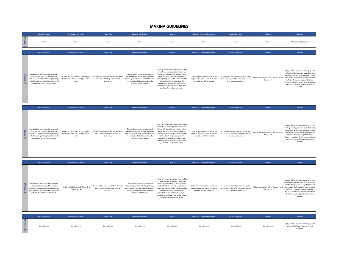#### **MARINA GUIDELINES**

<span id="page-23-0"></span>

|                                          | <b>Ratios &amp; Groups</b>                                                                                                                                                                                                | # of People per Boats                                                                        | <b>Visitor Flow</b>                                                                                   | <b>Sanitation &amp; Cleaning</b>                                                                                                                                                                           | Hygiene                                                                                                                                                                                                                                                                                                                                                                                           | <b>Check-in/Check-out Procedures</b>                                                                           | <b>Food &amp; Beverages</b>                                                                                              | <b>Visitors</b>                                              | Signage                                                                                                                                                                                                                                                                                                                              |
|------------------------------------------|---------------------------------------------------------------------------------------------------------------------------------------------------------------------------------------------------------------------------|----------------------------------------------------------------------------------------------|-------------------------------------------------------------------------------------------------------|------------------------------------------------------------------------------------------------------------------------------------------------------------------------------------------------------------|---------------------------------------------------------------------------------------------------------------------------------------------------------------------------------------------------------------------------------------------------------------------------------------------------------------------------------------------------------------------------------------------------|----------------------------------------------------------------------------------------------------------------|--------------------------------------------------------------------------------------------------------------------------|--------------------------------------------------------------|--------------------------------------------------------------------------------------------------------------------------------------------------------------------------------------------------------------------------------------------------------------------------------------------------------------------------------------|
| <b>Phase</b><br>$\overline{\phantom{a}}$ | Closed                                                                                                                                                                                                                    | Closed                                                                                       | Closed                                                                                                | Closed                                                                                                                                                                                                     | Closed                                                                                                                                                                                                                                                                                                                                                                                            | Closed                                                                                                         | Closed                                                                                                                   | Closed                                                       | <b>Closed Signage Required</b>                                                                                                                                                                                                                                                                                                       |
|                                          | <b>Ratios &amp; Groups</b>                                                                                                                                                                                                | # of People per Boats                                                                        | <b>Visitor Flow</b>                                                                                   | <b>Sanitation &amp; Cleaning</b>                                                                                                                                                                           | Hygiene                                                                                                                                                                                                                                                                                                                                                                                           | <b>Check-in/ Check-out Procedures</b>                                                                          | <b>Food &amp; Beverages</b>                                                                                              | <b>Visitors</b>                                              | Signage                                                                                                                                                                                                                                                                                                                              |
| Phase<br>$\overline{\mathbf{N}}$         | Standard boat rental operations naturally<br>provide conditions favorable for social<br>distancing. Do not exceed mass gatherings<br>of 10. The mass gathering limit refers to the<br>patrons who cannot social distance. | Kayaks: 1, Paddle Boards: 1, Encourage<br>family units only to use multiple person<br>hnats. | There will be a one way path for patrons to<br>enter and exit to help assist in social<br>distancing. | Clean and sanitize boats, paddles and<br>lifejackets prior to first rental, and every<br>time they are returned. Clean and sanitize<br>frequently touched surfaces at regular<br>intervals based on usage. | Reinforce frequent and proper handwashin<br>for staff and encourage use of masks and<br>gloves. Eliminate the use of cash register<br>and exchange of payment. Fundamental<br>cleaning and public health practices will be<br>followed, including industry specific<br>guidelines as provided on covid.ks.gov.<br>Compliance with additional best practices<br>guidance for our business sector.  | Online payments and boat rentals are<br>required through website. In person<br>payments are NOT permitted.     | To eliminate cash and payment transaction<br>at the facility, will offer a beverage add-on<br>with online reservations.  | All boat reservations will be checked in and<br>checked out. | Signage will be displayed encouraging hand<br>washing/healthy practices, social distancing<br>and describing what rule adjustments have<br>been made. Staff should be empowered to<br>enforce. One-way signage and/or tape<br>should be used to limit patrons interactions<br>Restricting touching surfaces as much as<br>possible.  |
|                                          | <b>Ratios &amp; Groups</b>                                                                                                                                                                                                | # of People per Boats                                                                        | <b>Visitor Flow</b>                                                                                   | <b>Sanitation &amp; Cleaning</b>                                                                                                                                                                           | Hygiene                                                                                                                                                                                                                                                                                                                                                                                           | <b>Check-in/Check-out Procedures</b>                                                                           | <b>Food &amp; Beverages</b>                                                                                              | Visitors                                                     | Signage                                                                                                                                                                                                                                                                                                                              |
| Phase<br>$\overline{N}$                  | Standard boat rental operations naturally<br>provide conditions favorable for social<br>distancing. Do not exceed mass gatherings<br>of 15. The mass gathering limit refers to the<br>patrons who cannot social distance. | Kayaks: 1, Paddle Boards: 1, Encourage<br>family units only to use multiple person<br>boats. | There will be a one way path for patrons to<br>enter and exit to help assist in social<br>distancing. | Clean and sanitize boats, paddles and<br>lifejackets prior to first rental, and every<br>time they are returned. Clean and sanitize<br>frequently touched surfaces at regular<br>intervals based on usage  | Reinforce frequent and proper handwashin<br>for staff and encourage use of masks and<br>gloves. Eliminate the use of cash register<br>and exchange of payment. Fundamental<br>cleaning and public health practices will be<br>followed, including industry specific<br>guidelines as provided on covid.ks.gov.<br>Compliance with additional best practices<br>guidance for our business sector.  | Online payments and boat rentals are<br>required through website. In person<br>payments are NOT permitted.     | To eliminate cash and payment transaction<br>at the facility, will offer a beverage add-on<br>with online reservations.  | All boat reservations will be checked in and<br>checked out. | Signage will be displayed encouraging hand<br>washing/healthy practices, social distancing,<br>and describing what rule adjustments have<br>been made. Staff should be empowered to<br>enforce. One-way signage and/or tape<br>should be used to limit patrons interactions<br>Restricting touching surfaces as much as<br>possible. |
|                                          | <b>Ratios &amp; Groups</b>                                                                                                                                                                                                | # of People per Boats                                                                        | <b>Visitor Flow</b>                                                                                   | <b>Sanitation &amp; Cleaning</b>                                                                                                                                                                           | Hygiene                                                                                                                                                                                                                                                                                                                                                                                           | <b>Check-in/Check-out Procedures</b>                                                                           | <b>Food &amp; Beverages</b>                                                                                              | Visitors                                                     | Signage                                                                                                                                                                                                                                                                                                                              |
| <b>Phase</b><br>$\pmb{\omega}$           | Standard boat rental operations naturally<br>provide conditions favorable for social<br>distancing. Do not exceed mass gatherings<br>of 45. The mass gathering limit refers to the<br>patrons who cannot social distance. | Kayaks: 1, Paddle Boards: 1, Canoe: 4, &<br>Pedal Boats: 4                                   | here will be a one way path for patrons to<br>enter and exit to help assist in social<br>distancing.  | Clean and sanitize boats, paddles and<br>lifeiackets prior to first rental, and every<br>time they are returned. Clean and sanitize<br>frequently touched surfaces at regular<br>intervals based on usage. | Reinforce frequent and proper handwashing<br>for staff and encourage use of masks and<br>gloves. Eliminate the use of cash register<br>and exchange of payment. Fundamental<br>cleaning and public health practices will be<br>followed, including industry specific<br>guidelines as provided on covid.ks.gov.<br>Compliance with additional best practices<br>guidance for our business sector. | Online Payments and boat rentals are<br>required through the website. In person<br>payments are NOT permitted. | To eliminate cash and payment transactions<br>at the facility, will offer a beverage add-on<br>with online reservations. | All boat reservations will be checked in and<br>checked out. | Signage will be displayed encouraging hand<br>washing/healthy practices, social distancing<br>and describing what rule adjustments have<br>been made. Staff should be empowered to<br>enforce. One-way signage and/or tape<br>should be used to limit patrons interactions<br>Restricting touching surfaces as much as<br>possible   |
|                                          | <b>Ratios &amp; Groups</b>                                                                                                                                                                                                | # of People per Boats                                                                        | <b>Visitor Flow</b>                                                                                   | <b>Sanitation &amp; Cleaning</b>                                                                                                                                                                           | Hygiene                                                                                                                                                                                                                                                                                                                                                                                           | <b>Check-in/Check-out Procedures</b>                                                                           | <b>Food &amp; Beverages</b>                                                                                              | <b>Visitors</b>                                              | Signage                                                                                                                                                                                                                                                                                                                              |
| Phase<br>Out                             | No restrictions                                                                                                                                                                                                           | No restrictions                                                                              | No restrictions                                                                                       | No restrictions                                                                                                                                                                                            | No restrictions                                                                                                                                                                                                                                                                                                                                                                                   | No restrictions                                                                                                | No restrictions                                                                                                          | No restrictions                                              | Signage will be displayed encouraging hand<br>washing/healthy practices and social<br>distancing.                                                                                                                                                                                                                                    |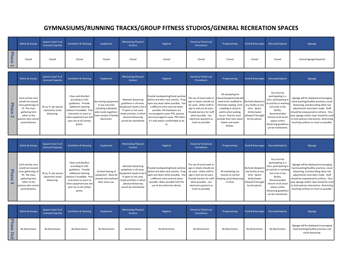# **GYMNASIUMS/RUNNING TRACKS/GROUP FITNESS STUDIOS/GENERAL RECREATION SPACES**

|                                       | <b>Ratios &amp; Groups</b>                                                                                                                                 | Square Feet/% of<br><b>Licensed Capacity</b>              | <b>Sanitation &amp; Cleaning</b>                                                                                                                                                                                 | <b>Equipment</b>                                                                                                                      | <b>Minimizing Physical</b><br><b>Contact</b>                                                                                                                                   | <b>Hygiene</b>                                                                                                                                                                                                                                                                                      | Check-in/ Check-out<br><b>Procedures</b>                                                                                                                                                                           | Programming                                                                                                                                                                                                                             | <b>Food &amp; Beverages</b>                                                                                       | <b>Non-participants</b>                                                                                                                                                                                                         | <b>Signage</b>                                                                                                                                                                                                                                                                                                                         |
|---------------------------------------|------------------------------------------------------------------------------------------------------------------------------------------------------------|-----------------------------------------------------------|------------------------------------------------------------------------------------------------------------------------------------------------------------------------------------------------------------------|---------------------------------------------------------------------------------------------------------------------------------------|--------------------------------------------------------------------------------------------------------------------------------------------------------------------------------|-----------------------------------------------------------------------------------------------------------------------------------------------------------------------------------------------------------------------------------------------------------------------------------------------------|--------------------------------------------------------------------------------------------------------------------------------------------------------------------------------------------------------------------|-----------------------------------------------------------------------------------------------------------------------------------------------------------------------------------------------------------------------------------------|-------------------------------------------------------------------------------------------------------------------|---------------------------------------------------------------------------------------------------------------------------------------------------------------------------------------------------------------------------------|----------------------------------------------------------------------------------------------------------------------------------------------------------------------------------------------------------------------------------------------------------------------------------------------------------------------------------------|
| Phase                                 | Closed                                                                                                                                                     | Closed                                                    | Closed                                                                                                                                                                                                           | Closed                                                                                                                                | Closed                                                                                                                                                                         | Closed                                                                                                                                                                                                                                                                                              | Closed                                                                                                                                                                                                             | Closed                                                                                                                                                                                                                                  | Closed                                                                                                            | Closed                                                                                                                                                                                                                          | Closed Signage Required                                                                                                                                                                                                                                                                                                                |
|                                       | <b>Ratios &amp; Groups</b>                                                                                                                                 | Square Feet/% of<br><b>Licensed Capacity</b>              | <b>Sanitation &amp; Cleaning</b>                                                                                                                                                                                 | <b>Equipment</b>                                                                                                                      | <b>Minimizing Physical</b><br><b>Contact</b>                                                                                                                                   | <b>Hygiene</b>                                                                                                                                                                                                                                                                                      | Check-in/Check-out<br><b>Procedures</b>                                                                                                                                                                            | Programming                                                                                                                                                                                                                             | <b>Food &amp; Beverages</b>                                                                                       | <b>Non-participants</b>                                                                                                                                                                                                         | <b>Signage</b>                                                                                                                                                                                                                                                                                                                         |
| <b>Phase</b><br>$\mathbf{N}$          | Each activity zone<br>would not exceed<br>mass gatherings of<br>15. The mass<br>gathering limit<br>refers to the<br>patrons who cannot<br>social distance. | 36 sq. ft. per person<br>represents social<br>distancing. | Clean and disinfect<br>according to CDC<br>guidelines. Provide<br>additional cleaning<br>stations if available. Post<br>instruction to users to<br>clean equipment pre and<br>post use at all contact<br>points. | No sharing equipment<br>in any area (not<br>including individuals<br>who reside together<br>imit contact of facility.<br>electronics. | Maintain distancing<br>guidelines in all areas<br>Equipment needs to be 6<br>ft apart or not used.<br>Avoid activities in which<br>physical distancing<br>cannot be maintained | Provide handwashing/hand sanitize<br>before and after each activity. Prop<br>open any doors when possible. Use<br>a different entry and exit when<br>possible. All employees are<br>encouraged to wear PPE, patrons<br>are encouraged to wear PPE when<br>it's safe and/or comfortable to do<br>SO. | The use of touch pads or<br>sign in sheets should not<br>be used. Utilize staff to<br>sign in and out all users<br>Provide barriers for staff<br>when possible. Use<br>electronic payment as<br>much as possible.  | All scheduling for<br>classes/programming will<br>need to be modified to<br>eliminate waiting. Limit<br>crowding at all pinch<br>points when waiting<br>occurs. Patrons must<br>provide their own sweat<br>towels and water<br>bottles. | No food allowed ir<br>any facility at any<br>time. Sports<br>drinks/water<br>allowed if brought<br>by the patron. | You must be<br>participating in a<br>class, participating i<br>an activity or working<br>out to be in the<br>facility.<br>Recommended<br>closure of all social<br>spaces unless<br>distancing guidelines<br>can be maintained.  | Signage will be displayed encouraging<br>hand washing/healthy practices, social<br>distancing, and describing what rule<br>adjustments have been made. Staff<br>should be empowered to enforce. One-<br>way signage and/or tape should be used<br>to limit patrons interactions. Restricting<br>touching surfaces as much as possible. |
|                                       | <b>Ratios &amp; Groups</b>                                                                                                                                 | Square Feet/% of<br><b>Licensed Capacity</b>              | <b>Sanitation &amp; Cleaning</b>                                                                                                                                                                                 | Equipment                                                                                                                             | <b>Minimizing Physical</b><br><b>Contact</b>                                                                                                                                   | <b>Hygiene</b>                                                                                                                                                                                                                                                                                      | Check-in/ Check-out<br><b>Procedures</b>                                                                                                                                                                           | <b>Programming</b>                                                                                                                                                                                                                      | <b>Food &amp; Beverages</b>                                                                                       | <b>Non-participants</b>                                                                                                                                                                                                         | <b>Signage</b>                                                                                                                                                                                                                                                                                                                         |
| <b>Phase</b><br>$\boldsymbol{\omega}$ | Each activity zone<br>would not exceed<br>mass gatherings of<br>45. The mass<br>gathering limit<br>refers to the<br>patrons who cannot<br>social distance. | 36 sq. ft. per person<br>represents social<br>distancing. | Clean and disinfect<br>according to CDC<br>guidelines. Provide<br>additional cleaning<br>stations if available. Post<br>instruction to users to<br>clean equipment pre and<br>post use at all contact<br>points. | Limited sharing of<br>equipment. Must be<br>cleaned and sanitized<br>after every use.                                                 | Maintain distancing<br>guidelines in all areas<br>Equipment needs to be<br>ft apart or not used.<br>Avoid activities in which<br>physical distancing<br>cannot be maintained   | Provide handwashing/hand sanitizer<br>before and after each activity. Prop<br>open any doors when possible. Use<br>a different entry and exit when<br>possible. When possible limit the<br>use of any electronic device.                                                                            | The use of touch pads or<br>sign in sheets should not<br>be used. Utilize staff to<br>sign in and out all users.<br>Provide barriers for staff<br>when possible. Use<br>electronic payment as<br>much as possible. | All scheduling can<br>resume as normal<br>eeping social distancing<br>in mind.                                                                                                                                                          | No food allowed ir<br>any facility at any<br>time. Sports<br>drinks/water<br>allowed if brought<br>by the patron. | You must be<br>participating in a<br>class, participating in<br>an activity or working<br>out to be in the<br>facility.<br>Recommended<br>closure of all social<br>spaces unless<br>distancing guidelines<br>can be maintained. | Signage will be displayed encouraging<br>hand washing/healthy practices, social<br>distancing, and describing what rule<br>adjustments have been made. Staff<br>should be empowered to enforce. One-<br>way signage and/or tape should be used<br>to limit patrons interactions. Restricting<br>touching surfaces as much as possible. |

|                                                                | Ratios & Groups | Square Feet/% of<br><b>Licensed Capacity</b> | <b>Sanitation &amp; Cleaning</b> | Equipment       | <b>Minimizing Physical</b><br>Contact | Hygiene         | <b>Check-in/ Check-out</b><br><b>Procedures</b> | Programming     |                 | Food & Beverages Non-participants | <b>Signage</b>                                                                                    |
|----------------------------------------------------------------|-----------------|----------------------------------------------|----------------------------------|-----------------|---------------------------------------|-----------------|-------------------------------------------------|-----------------|-----------------|-----------------------------------|---------------------------------------------------------------------------------------------------|
| ᅮ<br><b>as</b><br>$\mathbf \sigma$<br>$\circ$<br>$\rightarrow$ | No Restrictions | No Restrictions                              | No Restrictions                  | No Restrictions | No Restrictions                       | No Restrictions | No Restrictions                                 | No Restrictions | No Restrictions | No Restrictions                   | Signage will be displayed encouraging<br>hand washing/healthy practices and<br>social distancing. |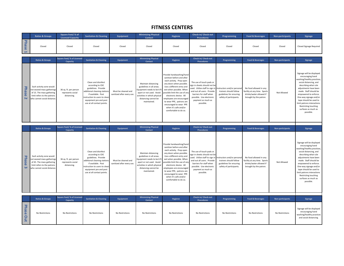#### **FITNESS CENTERS**

<span id="page-25-0"></span>

|                                                | <b>Ratios &amp; Groups</b> | Square Feet/% of<br><b>Licensed Capacity</b> | <b>Sanitation &amp; Cleaning</b> | Equipment | <b>Minimizing Physical</b><br><b>Contact</b> | Hygiene | <b>Check-in/ Check-out</b><br><b>Procedures</b> | Programming | <b>Food &amp; Beverages</b> | Non-participants | <b>Signage</b>          |
|------------------------------------------------|----------------------------|----------------------------------------------|----------------------------------|-----------|----------------------------------------------|---------|-------------------------------------------------|-------------|-----------------------------|------------------|-------------------------|
| - 77<br>$\Omega$<br>$\sim$<br>$\mathbf \sigma$ | Closed                     | Closed                                       | Closed                           | Closed    | Closed                                       | Closed  | Closed                                          | Closed      | Closed                      | Closed           | Closed Signage Required |

|                                                          | <b>Ratios &amp; Groups</b>                                                                                                                        | <b>Square Feet/% of Licensed</b><br><b>Capacity</b>       | <b>Sanitation &amp; Cleaning</b>                                                                                                                                                                              | <b>Equipment</b>                                  | <b>Minimizing Physical</b><br><b>Contact</b>                                                                                                                                     | Hygiene                                                                                                                                                                                                                                                                                                                                                                | <b>Check-in/ Check-out</b><br><b>Procedures</b>                                                                                                                                                                    | Programming                                                                                                | <b>Food &amp; Beverages</b>                                                                                 | <b>Non-participants</b> | <b>Signage</b>                                                                                                                                                                                                                                                                                                                                                |
|----------------------------------------------------------|---------------------------------------------------------------------------------------------------------------------------------------------------|-----------------------------------------------------------|---------------------------------------------------------------------------------------------------------------------------------------------------------------------------------------------------------------|---------------------------------------------------|----------------------------------------------------------------------------------------------------------------------------------------------------------------------------------|------------------------------------------------------------------------------------------------------------------------------------------------------------------------------------------------------------------------------------------------------------------------------------------------------------------------------------------------------------------------|--------------------------------------------------------------------------------------------------------------------------------------------------------------------------------------------------------------------|------------------------------------------------------------------------------------------------------------|-------------------------------------------------------------------------------------------------------------|-------------------------|---------------------------------------------------------------------------------------------------------------------------------------------------------------------------------------------------------------------------------------------------------------------------------------------------------------------------------------------------------------|
| ᄀ<br>has<br>൹                                            | Each activity zone would<br>not exceed mass gatherings<br>of 15. The mass gathering<br>limit refers to the patrons<br>who cannot social distance. | 36 sq. ft. per person<br>represents social<br>distancing. | Clean and disinfect<br>according to CDC<br>guidelines. Provide<br>additional cleaning stations<br>if available. Post<br>instruction to users to clean<br>equipment pre and post<br>use at all contact points. | Must be cleaned and<br>sanitized after every use. | Maintain distancing<br>guidelines in all areas.<br>Equipment needs to be 6 ft<br>apart or not used. Avoid<br>activities in which physical<br>distancing cannot be<br>maintained. | Provide handwashing/hand<br>sanitizer before and after<br>each activity. Prop open<br>any doors when possible.<br>Use a different entry and<br>exit when possible. When<br>possible limit the use of any<br>electronic device. All<br>employees are encouraged<br>to wear PPE, patrons are<br>encouraged to wear PPE<br>when it's safe and/or<br>comfortable to do so. | The use of touch pads or<br>sign in sheets should not be<br>used. Utilize staff to sign in<br>and out all users. Provide<br>barriers for staff when<br>possible. Use electronic<br>payment as much as<br>possible. | Instructors and/or persona<br>trainers should follow<br>guidelines for ensuring<br>safety of participants. | No food allowed in any<br>facility at any time. Sports<br>drinks/water allowed if<br>brought by the patron. | Not Allowed             | Signage will be displayed<br>encouraging hand<br>washing/healthy practices,<br>social distancing, and<br>describing what rule<br>adjustments have been<br>made. Staff should be<br>empowered to enforce.<br>One-way signage and/or<br>tape should be used to<br>limit patrons interactions<br><b>Restricting touching</b><br>surfaces as much as<br>possible. |
|                                                          | <b>Ratios &amp; Groups</b>                                                                                                                        | <b>Square Feet/ % of Licensed</b><br>Capacity             | <b>Sanitation &amp; Cleaning</b>                                                                                                                                                                              | <b>Equipment</b>                                  | <b>Minimizing Physical</b><br><b>Contact</b>                                                                                                                                     | Hygiene                                                                                                                                                                                                                                                                                                                                                                | Check-in/ Check-out<br><b>Procedures</b>                                                                                                                                                                           | Programming                                                                                                | <b>Food &amp; Beverages</b>                                                                                 | <b>Non-participants</b> | <b>Signage</b>                                                                                                                                                                                                                                                                                                                                                |
| ᅮ<br>$\overline{a}$<br><u>o</u><br>$\mathbf \sigma$<br>ധ | Each activity zone would<br>not exceed mass gatherings<br>of 45. The mass gathering<br>limit refers to the patrons<br>who cannot social distance. | 36 sq. ft. per person<br>represents social<br>distancing. | Clean and disinfect<br>according to CDC<br>guidelines. Provide<br>additional cleaning stations<br>if available. Post<br>nstruction to users to clean<br>equipment pre and post<br>use at all contact points.  | Must be cleaned and<br>sanitized after every use. | Maintain distancing<br>guidelines in all areas.<br>Equipment needs to be 6 ft<br>apart or not used. Avoid<br>activities in which physical<br>distancing cannot be<br>maintained. | Provide handwashing/hand<br>sanitizer before and after<br>each activity. Prop open<br>any doors when possible.<br>Use a different entry and<br>exit when possible. When<br>possible limit the use of any<br>electronic device. All<br>employees are encouraged<br>to wear PPE, patrons are<br>encouraged to wear PPE                                                   | The use of touch pads or<br>sign in sheets should not be<br>used. Utilize staff to sign in<br>and out all users. Provide<br>barriers for staff when<br>possible. Use electronic<br>payment as much as<br>possible. | nstructors and/or personal<br>trainers should follow<br>guidelines for ensuring<br>safety of participants. | No food allowed in any<br>facility at any time. Sports<br>drinks/water allowed if<br>brought by the patron. | Not Allowed             | Signage will be displayed<br>encouraging hand<br>washing/healthy practices,<br>social distancing, and<br>describing what rule<br>adjustments have been<br>made. Staff should be<br>empowered to enforce.<br>One-way signage and/or<br>tape should be used to<br>limit patrons interactions.                                                                   |

|                                                    | <b>Ratios &amp; Groups</b> | Square Feet/% of Licensed<br>Capacity | <b>Sanitation &amp; Cleaning</b> | Equipment       | <b>Minimizing Physical</b><br><b>Contact</b> | Hygiene         | <b>Check-in/ Check-out</b><br><b>Procedures</b> | Programming     | <b>Food &amp; Beverages</b> | <b>Non-participants</b> | <b>Signage</b>                                                                                       |
|----------------------------------------------------|----------------------------|---------------------------------------|----------------------------------|-----------------|----------------------------------------------|-----------------|-------------------------------------------------|-----------------|-----------------------------|-------------------------|------------------------------------------------------------------------------------------------------|
| യ<br>$\Omega$<br>$\mathbf \sigma$<br>$\rightarrow$ | No Restrictions            | No Restrictions                       | No Restrictions                  | No Restrictions | No Restrictions                              | No Restrictions | No Restrictions                                 | No Restrictions | No Restrictions             | No Restrictions         | Signage will be displayed<br>encouraging hand<br>washing/healthy practices<br>and social distancing. |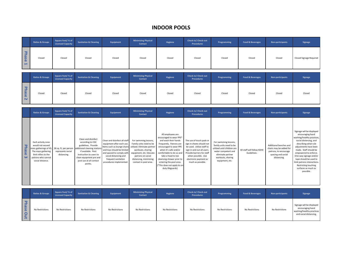## **INDOOR POOLS**

<span id="page-26-0"></span>

|                    | <b>Ratios &amp; Groups</b> | Square Feet/% of<br><b>Licensed Capacity</b> | <b>Sanitation &amp; Cleaning</b> | Equipment | <b>Minimizing Physical</b><br><b>Contact</b> | Hygiene | <b>Check-in/ Check-out</b><br>Procedures | Programming | <b>Food &amp; Beverages</b> | Non-participants | Signage                 |
|--------------------|----------------------------|----------------------------------------------|----------------------------------|-----------|----------------------------------------------|---------|------------------------------------------|-------------|-----------------------------|------------------|-------------------------|
| Phase<br><b>PA</b> | Closed                     | Closed                                       | Closed                           | Closed    | Closed                                       | Closed  | Closed                                   | Closed      | Closed                      | Closed           | Closed Signage Required |

|                                   | <b>Ratios &amp; Groups</b> | Square Feet/ % of<br><b>Licensed Capacity</b> | <b>Sanitation &amp; Cleaning</b> | Equipment | <b>Minimizing Physical</b><br><b>Contact</b> | Hygiene | <b>Check-in/ Check-out</b><br><b>Procedures</b> | Programming | <b>Food &amp; Beverages</b> | Non-participants | Signage |
|-----------------------------------|----------------------------|-----------------------------------------------|----------------------------------|-----------|----------------------------------------------|---------|-------------------------------------------------|-------------|-----------------------------|------------------|---------|
| Phase<br>$\overline{\phantom{0}}$ | Closed                     | Closed                                        | Closed                           | Closed    | Closed                                       | Closed  | Closed                                          | Closed      | Closed                      | Closed           | Closed  |

|                     | <b>Ratios &amp; Groups</b>                                                                                                                              | Square Feet/% of<br><b>Licensed Capacity</b> | <b>Sanitation &amp; Cleaning</b>                                                                                                                                                                                                       | Equipment                                                                                                                                                                                                                       | <b>Minimizing Physical</b><br><b>Contact</b>                                                                                                                                                            | Hygiene                                                                                                                                                                                                                                                                                                          | Check-in/Check-out<br><b>Procedures</b>                                                                                                                                                                            | Programming                                                                                                                                                         | <b>Food &amp; Beverages</b>               | <b>Non-participants</b>                                                                                         | <b>Signage</b>                                                                                                                                                                                                                                                                                                                                          |
|---------------------|---------------------------------------------------------------------------------------------------------------------------------------------------------|----------------------------------------------|----------------------------------------------------------------------------------------------------------------------------------------------------------------------------------------------------------------------------------------|---------------------------------------------------------------------------------------------------------------------------------------------------------------------------------------------------------------------------------|---------------------------------------------------------------------------------------------------------------------------------------------------------------------------------------------------------|------------------------------------------------------------------------------------------------------------------------------------------------------------------------------------------------------------------------------------------------------------------------------------------------------------------|--------------------------------------------------------------------------------------------------------------------------------------------------------------------------------------------------------------------|---------------------------------------------------------------------------------------------------------------------------------------------------------------------|-------------------------------------------|-----------------------------------------------------------------------------------------------------------------|---------------------------------------------------------------------------------------------------------------------------------------------------------------------------------------------------------------------------------------------------------------------------------------------------------------------------------------------------------|
| Phase 3<br>$\omega$ | Each activity zone<br>would not exceed<br>mass gatherings of 45.<br>The mass gathering<br>limit refers to the<br>patrons who cannot<br>social distance. | represents social<br>distancing.             | Clean and disinfect<br>according to CDC<br>guidelines. Provide<br>36 sq. ft. per person additional cleaning stations<br>if available. Post<br>instruction to users to<br>clean equipment pre and<br>post use at all contact<br>points. | Clean and disinfect all staff<br>equipment after each use.<br>Items such as lounge chairs<br>and toys should be limited<br>and spaced to comply with<br>social distancing and<br>frequent sanitation<br>procedures implemented. | For swimming lessons,<br>Family units need to be<br>utilized. Eliminate partner<br>workouts, sharing<br>equipment, etc. Educate<br>patrons on social<br>distancing, minimizing<br>contact in pool area. | All employees are<br>encouraged to wear PPE*<br>and wash their hands<br>frequently. Patrons are<br>encouraged to wear PPE<br>when it's safe and/or<br>comfortable to do so and<br>take a head to toe<br>cleansing shower prior to<br>entering the pool area.<br>(*This does not apply to on-<br>duty lifeguards) | The use of touch pads or<br>sign in sheets should not<br>be used. Utilize staff to<br>sign in and out all users.<br>Provide barriers for staff<br>when possible. Use<br>electronic payment as<br>much as possible. | For swimming lessons,<br>family units need to be<br>utilized until children are<br>water competent and<br>eliminate partner<br>workouts, sharing<br>equipment, etc. | All staff will follow KDHE<br>Guidelines. | Additional benches and<br>chairs may be added for<br>patrons, to encourage<br>spacing and social<br>distancing. | Signage will be displayed<br>encouraging hand<br>washing/healthy practices,<br>social distancing, and<br>describing what rule<br>adjustments have been<br>made. Staff should be<br>empowered to enforce.<br>One-way signage and/or<br>tape should be used to<br>limit patrons interactions.<br>Restricting touching<br>surfaces as much as<br>possible. |

|                    | <b>Ratios &amp; Groups</b> | Square Feet/% of<br><b>Licensed Capacity</b> | <b>Sanitation &amp; Cleaning</b> | Equipment       | <b>Minimizing Physical</b><br><b>Contact</b> | Hygiene         | <b>Check-in/ Check-out</b><br><b>Procedures</b> | Programming     | <b>Food &amp; Beverages</b> | Non-participants | Signage                                                                                              |
|--------------------|----------------------------|----------------------------------------------|----------------------------------|-----------------|----------------------------------------------|-----------------|-------------------------------------------------|-----------------|-----------------------------|------------------|------------------------------------------------------------------------------------------------------|
| ᅮ<br>ase<br>O<br>≒ | No Restrictions            | No Restrictions                              | No Restrictions                  | No Restrictions | No Restrictions                              | No Restrictions | No Restrictions                                 | No Restrictions | No Restrictions             | No Restrictions  | Signage will be displayed<br>encouraging hand<br>washing/healthy practices<br>and social distancing. |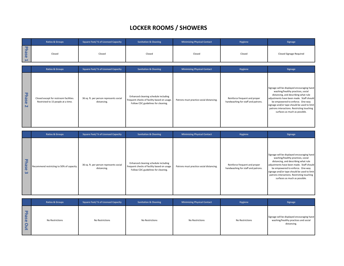## **LOCKER ROOMS / SHOWERS**

<span id="page-27-0"></span>

|                                      | <b>Ratios &amp; Groups</b>                                                   | <b>Square Feet/ % of Licensed Capacity</b>             | <b>Sanitation &amp; Cleaning</b>                                                                                           | <b>Minimizing Physical Contact</b>       | Hygiene                                                             | Signage                                                                                                                                                                                                                                                                                                                               |
|--------------------------------------|------------------------------------------------------------------------------|--------------------------------------------------------|----------------------------------------------------------------------------------------------------------------------------|------------------------------------------|---------------------------------------------------------------------|---------------------------------------------------------------------------------------------------------------------------------------------------------------------------------------------------------------------------------------------------------------------------------------------------------------------------------------|
| <b>Phase</b><br>⊷                    | Closed<br>Closed                                                             |                                                        | Closed                                                                                                                     | Closed                                   | Closed                                                              | Closed Signage Required                                                                                                                                                                                                                                                                                                               |
|                                      |                                                                              |                                                        |                                                                                                                            |                                          |                                                                     |                                                                                                                                                                                                                                                                                                                                       |
|                                      | <b>Ratios &amp; Groups</b>                                                   | <b>Square Feet/ % of Licensed Capacity</b>             | <b>Sanitation &amp; Cleaning</b>                                                                                           | <b>Minimizing Physical Contact</b>       | Hygiene                                                             | Signage                                                                                                                                                                                                                                                                                                                               |
| <b>Phas</b><br>$\mathbf \sigma$<br>N | Closed except for restroom facilities.<br>Restricted to 15 people at a time. | 36 sq. ft. per person represents social<br>distancing. | Enhanced cleaning schedule including<br>frequent checks of facility based on usage.<br>Follow CDC guidelines for cleaning. | Patrons must practice social distancing. | Reinforce frequent and proper<br>handwashing for staff and patrons. | Signage will be displayed encouraging hand<br>washing/healthy practices, social<br>distancing, and describing what rule<br>adjustments have been made. Staff should<br>be empowered to enforce. One-way<br>signage and/or tape should be used to limit<br>patrons interactions. Restricting touching<br>surfaces as much as possible. |

|                   | <b>Ratios &amp; Groups</b>                | <b>Square Feet/% of Licensed Capacity</b>              | <b>Sanitation &amp; Cleaning</b>                                                                                           | <b>Minimizing Physical Contact</b>       | Hygiene                                                             | Signage                                                                                                                                                                                                                                                                                                                               |
|-------------------|-------------------------------------------|--------------------------------------------------------|----------------------------------------------------------------------------------------------------------------------------|------------------------------------------|---------------------------------------------------------------------|---------------------------------------------------------------------------------------------------------------------------------------------------------------------------------------------------------------------------------------------------------------------------------------------------------------------------------------|
| <b>Phase</b><br>ഄ | Recommend restricting to 50% of capacity. | 36 sq. ft. per person represents social<br>distancing. | Enhanced cleaning schedule including<br>frequent checks of facility based on usage.<br>Follow CDC guidelines for cleaning. | Patrons must practice social distancing. | Reinforce frequent and proper<br>handwashing for staff and patrons. | Signage will be displayed encouraging hand<br>washing/healthy practices, social<br>distancing, and describing what rule<br>adjustments have been made. Staff should<br>be empowered to enforce. One-way<br>signage and/or tape should be used to limit<br>patrons interactions. Restricting touching<br>surfaces as much as possible. |

|                                                     | <b>Ratios &amp; Groups</b> | Square Feet/ % of Licensed Capacity | <b>Sanitation &amp; Cleaning</b> | <b>Minimizing Physical Contact</b> | Hygiene         | <b>Signage</b>                                                                                    |
|-----------------------------------------------------|----------------------------|-------------------------------------|----------------------------------|------------------------------------|-----------------|---------------------------------------------------------------------------------------------------|
| --<br>$\omega$<br>$\Omega$<br>$\mathbf \sigma$<br>œ | No Restrictions            | No Restrictions                     | No Restrictions                  | No Restrictions                    | No Restrictions | Signage will be displayed encouraging hand<br>washing/healthy practices and social<br>distancing. |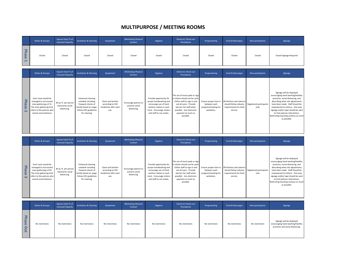## **MULTIPURPOSE / MEETING ROOMS**

<span id="page-28-0"></span>

|                                         | <b>Ratios &amp; Groups</b>                                                                                                                                | Square Feet/% of<br><b>Licensed Capacity</b>              | <b>Sanitation &amp; Cleaning</b>                                                                                                    | Equipment                                                               | <b>Minimizing Physical</b><br>Contact                  | Hygiene                                                                                                                                                        | Check-in/Check-out<br><b>Procedures</b>                                                                                                                                                                            | Programming                                                                 | <b>Food &amp; Beverages</b>                                                              | Non-participants                | Signage                                                                                                                                                                                                                                                                                                                                     |
|-----------------------------------------|-----------------------------------------------------------------------------------------------------------------------------------------------------------|-----------------------------------------------------------|-------------------------------------------------------------------------------------------------------------------------------------|-------------------------------------------------------------------------|--------------------------------------------------------|----------------------------------------------------------------------------------------------------------------------------------------------------------------|--------------------------------------------------------------------------------------------------------------------------------------------------------------------------------------------------------------------|-----------------------------------------------------------------------------|------------------------------------------------------------------------------------------|---------------------------------|---------------------------------------------------------------------------------------------------------------------------------------------------------------------------------------------------------------------------------------------------------------------------------------------------------------------------------------------|
| Phase<br>F                              | Closed                                                                                                                                                    | Closed                                                    | Closed                                                                                                                              | Closed                                                                  | Closed                                                 | Closed                                                                                                                                                         | Closed                                                                                                                                                                                                             | Closed                                                                      | Closed                                                                                   | Closed                          | Closed Signage Required                                                                                                                                                                                                                                                                                                                     |
|                                         | <b>Ratios &amp; Groups</b>                                                                                                                                | Square Feet/% of<br><b>Licensed Capacity</b>              | <b>Sanitation &amp; Cleaning</b>                                                                                                    | Equipment                                                               | <b>Minimizing Physical</b><br><b>Contact</b>           | Hygiene                                                                                                                                                        | Check-in/ Check-out<br><b>Procedures</b>                                                                                                                                                                           | Programming                                                                 | <b>Food &amp; Beverages</b>                                                              | Non-participants                | Signage                                                                                                                                                                                                                                                                                                                                     |
| <b>Phase</b><br>$\overline{\mathsf{N}}$ | Each room would be<br>managed to not exceed<br>mass gatherings of 15.<br>The mass gathering limit<br>refers to the patrons who<br>cannot social distance. | 36 sq. ft. per person<br>represents social<br>distancing. | Enhanced cleaning<br>schedule including<br>frequent checks of<br>facility based on usage.<br>Follow CDC guidelines<br>for cleaning. | Clean and Sanitize<br>according to CDC<br>Guidelines after each<br>use. | Encourage patrons to<br>practice social<br>distancing. | Provide opportunity for<br>proper handwashing and<br>encourage use of hand<br>sanitizer station in each<br>room. Encourage visitors<br>and staff to use masks. | The use of touch pads or sign<br>in sheets should not be used.<br>Utilize staff to sign in and<br>out all users. Provide<br>barriers for staff when<br>possible. Use electronic<br>payment as much as<br>possible. | Ensure proper time in<br>between each<br>program/meeting for<br>sanitation. | All kitchens and caterers<br>should follow industry<br>requirements for food<br>service. | Registered participants<br>only | Signage will be displayed<br>encouraging hand washing/healthy<br>practices, social distancing, and<br>describing what rule adjustments<br>have been made. Staff should be<br>empowered to enforce. One-way<br>signage and/or tape should be used<br>to limit patrons interactions.<br>Restricting touching surfaces as much<br>as possible. |

|                                             | <b>Ratios &amp; Groups</b>                                                                                                                                | Square Feet/% of<br><b>Licensed Capacity</b>              | <b>Sanitation &amp; Cleaning</b>                                                                                                    | Equipment                                                               | <b>Minimizing Physical</b><br>Contact                  | Hygiene                                                                                                                                                        | Check-in/Check-out<br><b>Procedures</b>                                                                                                                                                                            | Programming                                                                 | <b>Food &amp; Beverages</b>                                    | Non-participants                                       | Signage                                                                                                                                                                                                                                                                                                                                     |
|---------------------------------------------|-----------------------------------------------------------------------------------------------------------------------------------------------------------|-----------------------------------------------------------|-------------------------------------------------------------------------------------------------------------------------------------|-------------------------------------------------------------------------|--------------------------------------------------------|----------------------------------------------------------------------------------------------------------------------------------------------------------------|--------------------------------------------------------------------------------------------------------------------------------------------------------------------------------------------------------------------|-----------------------------------------------------------------------------|----------------------------------------------------------------|--------------------------------------------------------|---------------------------------------------------------------------------------------------------------------------------------------------------------------------------------------------------------------------------------------------------------------------------------------------------------------------------------------------|
| ᠊ᢦ<br>ź<br><b>SP</b><br>$\blacksquare$<br>ഄ | Each room would be<br>managed to not exceed<br>mass gatherings of 45.<br>The mass gathering limit<br>refers to the patrons who<br>cannot social distance. | 36 sq. ft. per person<br>represents social<br>distancing. | Enhanced cleaning<br>schedule including<br>frequent checks of<br>facility based on usage.<br>Follow CDC guidelines<br>for cleaning. | Clean and Sanitize<br>according to CDC<br>Guidelines after each<br>use. | Encourage patrons to<br>practice social<br>distancing. | Provide opportunity for<br>proper handwashing and<br>encourage use of hand<br>sanitizer station in each<br>room. Encourage visitors<br>and staff to use masks. | The use of touch pads or sign<br>in sheets should not be used.<br>Utilize staff to sign in and<br>out all users. Provide<br>barriers for staff when<br>possible. Use electronic<br>payment as much as<br>possible. | Ensure proper time in<br>between each<br>program/meeting for<br>sanitation. | All kitchens and caterers<br>requirements for food<br>service. | should follow industry Registered participants<br>only | Signage will be displayed<br>encouraging hand washing/healthy<br>practices, social distancing, and<br>describing what rule adjustments<br>have been made. Staff should be<br>empowered to enforce. One-way<br>signage and/or tape should be used<br>to limit patrons interactions.<br>Restricting touching surfaces as much<br>as possible. |

|              | <b>Ratios &amp; Groups</b> | Square Feet/% of<br><b>Licensed Capacity</b> | <b>Sanitation &amp; Cleaning</b> | Equipment       | <b>Minimizing Physical</b><br>Contact | Hygiene         | Check-in/Check-out<br><b>Procedures</b> | Programming     | <b>Food &amp; Beverages</b> | Non-participants | Signage                                                                                           |
|--------------|----------------------------|----------------------------------------------|----------------------------------|-----------------|---------------------------------------|-----------------|-----------------------------------------|-----------------|-----------------------------|------------------|---------------------------------------------------------------------------------------------------|
| Phase<br>Out | No restrictions            | No restrictions                              | No restrictions                  | No restrictions | No restrictions                       | No restrictions | No restrictions                         | No restrictions | No restrictions             | No restrictions  | Signage will be displayed<br>encouraging hand washing/healthy<br>practices and social distancing. |